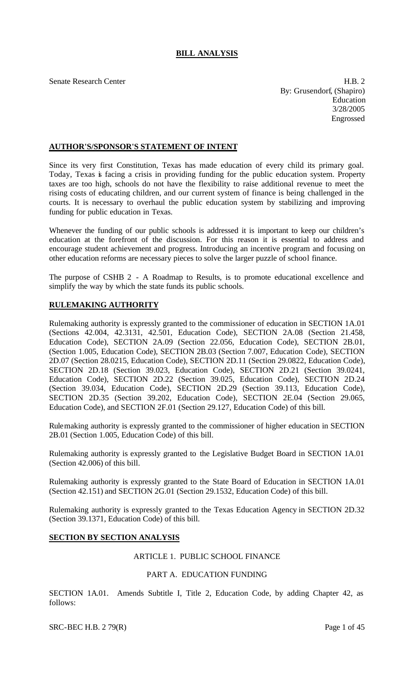# **BILL ANALYSIS**

Senate Research Center **H.B. 2** By: Grusendorf, (Shapiro) Education 3/28/2005 Engrossed

# **AUTHOR'S/SPONSOR'S STATEMENT OF INTENT**

Since its very first Constitution, Texas has made education of every child its primary goal. Today, Texas is facing a crisis in providing funding for the public education system. Property taxes are too high, schools do not have the flexibility to raise additional revenue to meet the rising costs of educating children, and our current system of finance is being challenged in the courts. It is necessary to overhaul the public education system by stabilizing and improving funding for public education in Texas.

Whenever the funding of our public schools is addressed it is important to keep our children's education at the forefront of the discussion. For this reason it is essential to address and encourage student achievement and progress. Introducing an incentive program and focusing on other education reforms are necessary pieces to solve the larger puzzle of school finance.

The purpose of CSHB 2 - A Roadmap to Results, is to promote educational excellence and simplify the way by which the state funds its public schools.

# **RULEMAKING AUTHORITY**

Rulemaking authority is expressly granted to the commissioner of education in SECTION 1A.01 (Sections 42.004, 42.3131, 42.501, Education Code), SECTION 2A.08 (Section 21.458, Education Code), SECTION 2A.09 (Section 22.056, Education Code), SECTION 2B.01, (Section 1.005, Education Code), SECTION 2B.03 (Section 7.007, Education Code), SECTION 2D.07 (Section 28.0215, Education Code), SECTION 2D.11 (Section 29.0822, Education Code), SECTION 2D.18 (Section 39.023, Education Code), SECTION 2D.21 (Section 39.0241, Education Code), SECTION 2D.22 (Section 39.025, Education Code), SECTION 2D.24 (Section 39.034, Education Code), SECTION 2D.29 (Section 39.113, Education Code), SECTION 2D.35 (Section 39.202, Education Code), SECTION 2E.04 (Section 29.065, Education Code), and SECTION 2F.01 (Section 29.127, Education Code) of this bill.

Rulemaking authority is expressly granted to the commissioner of higher education in SECTION 2B.01 (Section 1.005, Education Code) of this bill.

Rulemaking authority is expressly granted to the Legislative Budget Board in SECTION 1A.01 (Section 42.006) of this bill.

Rulemaking authority is expressly granted to the State Board of Education in SECTION 1A.01 (Section 42.151) and SECTION 2G.01 (Section 29.1532, Education Code) of this bill.

Rulemaking authority is expressly granted to the Texas Education Agency in SECTION 2D.32 (Section 39.1371, Education Code) of this bill.

## **SECTION BY SECTION ANALYSIS**

# ARTICLE 1. PUBLIC SCHOOL FINANCE

## PART A. EDUCATION FUNDING

SECTION 1A.01. Amends Subtitle I, Title 2, Education Code, by adding Chapter 42, as follows:

 $SRC-BEC H.B. 279(R)$  Page 1 of 45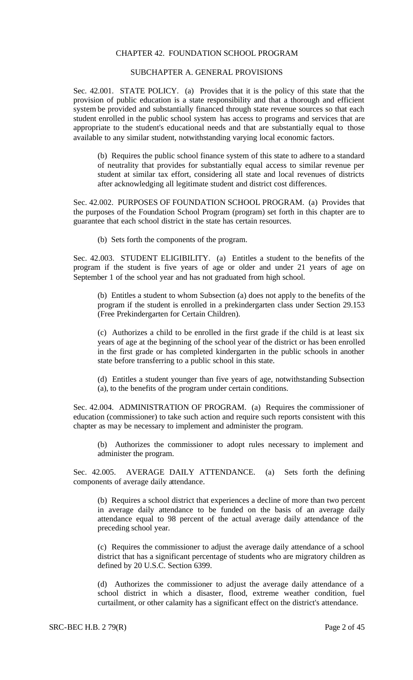## CHAPTER 42. FOUNDATION SCHOOL PROGRAM

## SUBCHAPTER A. GENERAL PROVISIONS

Sec. 42.001. STATE POLICY. (a) Provides that it is the policy of this state that the provision of public education is a state responsibility and that a thorough and efficient system be provided and substantially financed through state revenue sources so that each student enrolled in the public school system has access to programs and services that are appropriate to the student's educational needs and that are substantially equal to those available to any similar student, notwithstanding varying local economic factors.

(b) Requires the public school finance system of this state to adhere to a standard of neutrality that provides for substantially equal access to similar revenue per student at similar tax effort, considering all state and local revenues of districts after acknowledging all legitimate student and district cost differences.

Sec. 42.002. PURPOSES OF FOUNDATION SCHOOL PROGRAM. (a) Provides that the purposes of the Foundation School Program (program) set forth in this chapter are to guarantee that each school district in the state has certain resources.

(b) Sets forth the components of the program.

Sec. 42.003. STUDENT ELIGIBILITY. (a) Entitles a student to the benefits of the program if the student is five years of age or older and under 21 years of age on September 1 of the school year and has not graduated from high school.

(b) Entitles a student to whom Subsection (a) does not apply to the benefits of the program if the student is enrolled in a prekindergarten class under Section 29.153 (Free Prekindergarten for Certain Children).

(c) Authorizes a child to be enrolled in the first grade if the child is at least six years of age at the beginning of the school year of the district or has been enrolled in the first grade or has completed kindergarten in the public schools in another state before transferring to a public school in this state.

(d) Entitles a student younger than five years of age, notwithstanding Subsection (a), to the benefits of the program under certain conditions.

Sec. 42.004. ADMINISTRATION OF PROGRAM. (a) Requires the commissioner of education (commissioner) to take such action and require such reports consistent with this chapter as may be necessary to implement and administer the program.

(b) Authorizes the commissioner to adopt rules necessary to implement and administer the program.

Sec. 42.005. AVERAGE DAILY ATTENDANCE. (a) Sets forth the defining components of average daily attendance.

(b) Requires a school district that experiences a decline of more than two percent in average daily attendance to be funded on the basis of an average daily attendance equal to 98 percent of the actual average daily attendance of the preceding school year.

(c) Requires the commissioner to adjust the average daily attendance of a school district that has a significant percentage of students who are migratory children as defined by 20 U.S.C. Section 6399.

(d) Authorizes the commissioner to adjust the average daily attendance of a school district in which a disaster, flood, extreme weather condition, fuel curtailment, or other calamity has a significant effect on the district's attendance.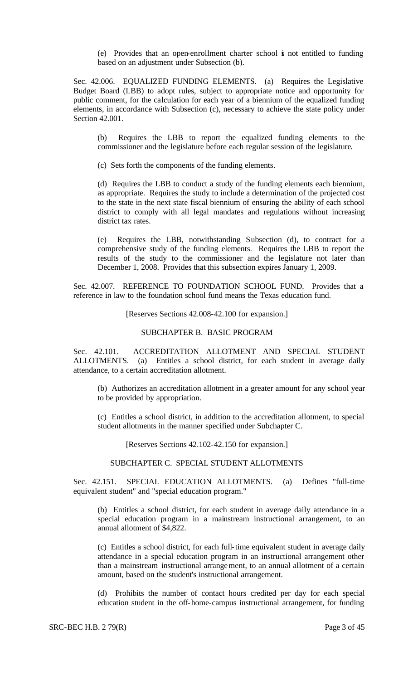(e) Provides that an open-enrollment charter school is not entitled to funding based on an adjustment under Subsection (b).

Sec. 42.006. EQUALIZED FUNDING ELEMENTS. (a) Requires the Legislative Budget Board (LBB) to adopt rules, subject to appropriate notice and opportunity for public comment, for the calculation for each year of a biennium of the equalized funding elements, in accordance with Subsection (c), necessary to achieve the state policy under Section 42.001.

(b) Requires the LBB to report the equalized funding elements to the commissioner and the legislature before each regular session of the legislature.

(c) Sets forth the components of the funding elements.

(d) Requires the LBB to conduct a study of the funding elements each biennium, as appropriate. Requires the study to include a determination of the projected cost to the state in the next state fiscal biennium of ensuring the ability of each school district to comply with all legal mandates and regulations without increasing district tax rates.

(e) Requires the LBB, notwithstanding Subsection (d), to contract for a comprehensive study of the funding elements. Requires the LBB to report the results of the study to the commissioner and the legislature not later than December 1, 2008. Provides that this subsection expires January 1, 2009.

Sec. 42.007. REFERENCE TO FOUNDATION SCHOOL FUND. Provides that a reference in law to the foundation school fund means the Texas education fund.

[Reserves Sections 42.008-42.100 for expansion.]

### SUBCHAPTER B. BASIC PROGRAM

Sec. 42.101. ACCREDITATION ALLOTMENT AND SPECIAL STUDENT ALLOTMENTS. (a) Entitles a school district, for each student in average daily attendance, to a certain accreditation allotment.

(b) Authorizes an accreditation allotment in a greater amount for any school year to be provided by appropriation.

(c) Entitles a school district, in addition to the accreditation allotment, to special student allotments in the manner specified under Subchapter C.

[Reserves Sections 42.102-42.150 for expansion.]

# SUBCHAPTER C. SPECIAL STUDENT ALLOTMENTS

Sec. 42.151. SPECIAL EDUCATION ALLOTMENTS. (a) Defines "full-time equivalent student" and "special education program."

(b) Entitles a school district, for each student in average daily attendance in a special education program in a mainstream instructional arrangement, to an annual allotment of \$4,822.

(c) Entitles a school district, for each full-time equivalent student in average daily attendance in a special education program in an instructional arrangement other than a mainstream instructional arrangement, to an annual allotment of a certain amount, based on the student's instructional arrangement.

(d) Prohibits the number of contact hours credited per day for each special education student in the off-home-campus instructional arrangement, for funding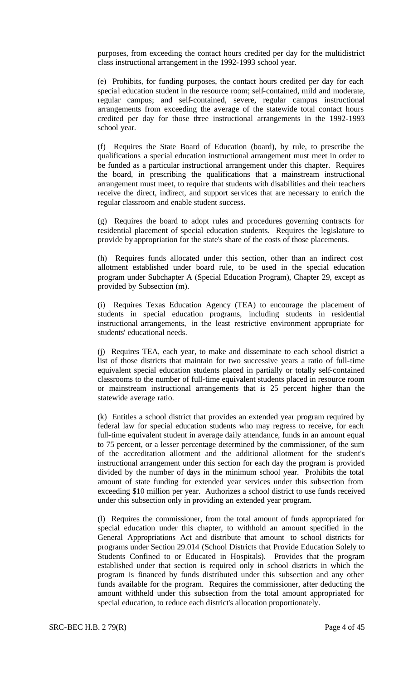purposes, from exceeding the contact hours credited per day for the multidistrict class instructional arrangement in the 1992-1993 school year.

(e) Prohibits, for funding purposes, the contact hours credited per day for each special education student in the resource room; self-contained, mild and moderate, regular campus; and self-contained, severe, regular campus instructional arrangements from exceeding the average of the statewide total contact hours credited per day for those three instructional arrangements in the 1992-1993 school year.

(f) Requires the State Board of Education (board), by rule, to prescribe the qualifications a special education instructional arrangement must meet in order to be funded as a particular instructional arrangement under this chapter. Requires the board, in prescribing the qualifications that a mainstream instructional arrangement must meet, to require that students with disabilities and their teachers receive the direct, indirect, and support services that are necessary to enrich the regular classroom and enable student success.

(g) Requires the board to adopt rules and procedures governing contracts for residential placement of special education students. Requires the legislature to provide by appropriation for the state's share of the costs of those placements.

(h) Requires funds allocated under this section, other than an indirect cost allotment established under board rule, to be used in the special education program under Subchapter A (Special Education Program), Chapter 29, except as provided by Subsection (m).

(i) Requires Texas Education Agency (TEA) to encourage the placement of students in special education programs, including students in residential instructional arrangements, in the least restrictive environment appropriate for students' educational needs.

(j) Requires TEA, each year, to make and disseminate to each school district a list of those districts that maintain for two successive years a ratio of full-time equivalent special education students placed in partially or totally self-contained classrooms to the number of full-time equivalent students placed in resource room or mainstream instructional arrangements that is 25 percent higher than the statewide average ratio.

(k) Entitles a school district that provides an extended year program required by federal law for special education students who may regress to receive, for each full-time equivalent student in average daily attendance, funds in an amount equal to 75 percent, or a lesser percentage determined by the commissioner, of the sum of the accreditation allotment and the additional allotment for the student's instructional arrangement under this section for each day the program is provided divided by the number of days in the minimum school year. Prohibits the total amount of state funding for extended year services under this subsection from exceeding \$10 million per year. Authorizes a school district to use funds received under this subsection only in providing an extended year program.

(l) Requires the commissioner, from the total amount of funds appropriated for special education under this chapter, to withhold an amount specified in the General Appropriations Act and distribute that amount to school districts for programs under Section 29.014 (School Districts that Provide Education Solely to Students Confined to or Educated in Hospitals). Provides that the program established under that section is required only in school districts in which the program is financed by funds distributed under this subsection and any other funds available for the program. Requires the commissioner, after deducting the amount withheld under this subsection from the total amount appropriated for special education, to reduce each district's allocation proportionately.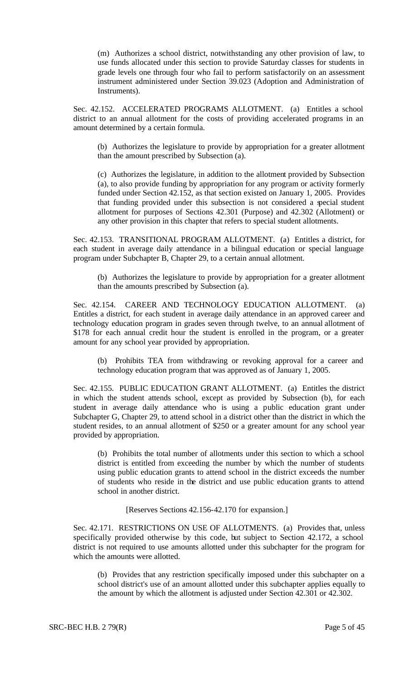(m) Authorizes a school district, notwithstanding any other provision of law, to use funds allocated under this section to provide Saturday classes for students in grade levels one through four who fail to perform satisfactorily on an assessment instrument administered under Section 39.023 (Adoption and Administration of Instruments).

Sec. 42.152. ACCELERATED PROGRAMS ALLOTMENT. (a) Entitles a school district to an annual allotment for the costs of providing accelerated programs in an amount determined by a certain formula.

(b) Authorizes the legislature to provide by appropriation for a greater allotment than the amount prescribed by Subsection (a).

(c) Authorizes the legislature, in addition to the allotment provided by Subsection (a), to also provide funding by appropriation for any program or activity formerly funded under Section 42.152, as that section existed on January 1, 2005. Provides that funding provided under this subsection is not considered a special student allotment for purposes of Sections 42.301 (Purpose) and 42.302 (Allotment) or any other provision in this chapter that refers to special student allotments.

Sec. 42.153. TRANSITIONAL PROGRAM ALLOTMENT. (a) Entitles a district, for each student in average daily attendance in a bilingual education or special language program under Subchapter B, Chapter 29, to a certain annual allotment.

(b) Authorizes the legislature to provide by appropriation for a greater allotment than the amounts prescribed by Subsection (a).

Sec. 42.154. CAREER AND TECHNOLOGY EDUCATION ALLOTMENT. (a) Entitles a district, for each student in average daily attendance in an approved career and technology education program in grades seven through twelve, to an annual allotment of \$178 for each annual credit hour the student is enrolled in the program, or a greater amount for any school year provided by appropriation.

(b) Prohibits TEA from withdrawing or revoking approval for a career and technology education program that was approved as of January 1, 2005.

Sec. 42.155. PUBLIC EDUCATION GRANT ALLOTMENT. (a) Entitles the district in which the student attends school, except as provided by Subsection (b), for each student in average daily attendance who is using a public education grant under Subchapter G, Chapter 29, to attend school in a district other than the district in which the student resides, to an annual allotment of \$250 or a greater amount for any school year provided by appropriation.

(b) Prohibits the total number of allotments under this section to which a school district is entitled from exceeding the number by which the number of students using public education grants to attend school in the district exceeds the number of students who reside in the district and use public education grants to attend school in another district.

[Reserves Sections 42.156-42.170 for expansion.]

Sec. 42.171. RESTRICTIONS ON USE OF ALLOTMENTS. (a) Provides that, unless specifically provided otherwise by this code, but subject to Section 42.172, a school district is not required to use amounts allotted under this subchapter for the program for which the amounts were allotted.

(b) Provides that any restriction specifically imposed under this subchapter on a school district's use of an amount allotted under this subchapter applies equally to the amount by which the allotment is adjusted under Section 42.301 or 42.302.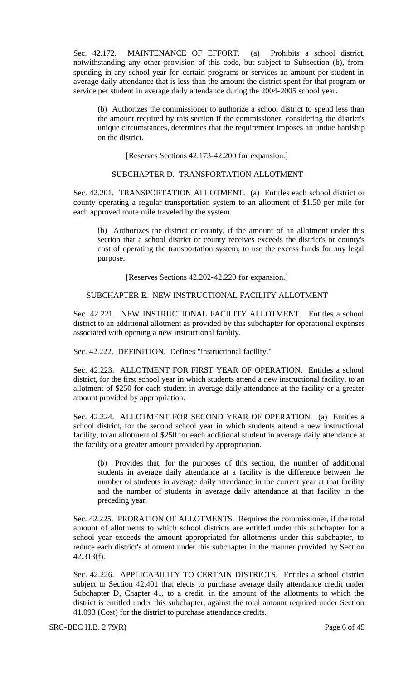Sec. 42.172. MAINTENANCE OF EFFORT. (a) Prohibits a school district, notwithstanding any other provision of this code, but subject to Subsection (b), from spending in any school year for certain programs or services an amount per student in average daily attendance that is less than the amount the district spent for that program or service per student in average daily attendance during the 2004-2005 school year.

(b) Authorizes the commissioner to authorize a school district to spend less than the amount required by this section if the commissioner, considering the district's unique circumstances, determines that the requirement imposes an undue hardship on the district.

[Reserves Sections 42.173-42.200 for expansion.]

#### SUBCHAPTER D. TRANSPORTATION ALLOTMENT

Sec. 42.201. TRANSPORTATION ALLOTMENT. (a) Entitles each school district or county operating a regular transportation system to an allotment of \$1.50 per mile for each approved route mile traveled by the system.

(b) Authorizes the district or county, if the amount of an allotment under this section that a school district or county receives exceeds the district's or county's cost of operating the transportation system, to use the excess funds for any legal purpose.

[Reserves Sections 42.202-42.220 for expansion.]

# SUBCHAPTER E. NEW INSTRUCTIONAL FACILITY ALLOTMENT

Sec. 42.221. NEW INSTRUCTIONAL FACILITY ALLOTMENT. Entitles a school district to an additional allotment as provided by this subchapter for operational expenses associated with opening a new instructional facility.

Sec. 42.222. DEFINITION. Defines "instructional facility."

Sec. 42.223. ALLOTMENT FOR FIRST YEAR OF OPERATION. Entitles a school district, for the first school year in which students attend a new instructional facility, to an allotment of \$250 for each student in average daily attendance at the facility or a greater amount provided by appropriation.

Sec. 42.224. ALLOTMENT FOR SECOND YEAR OF OPERATION. (a) Entitles a school district, for the second school year in which students attend a new instructional facility, to an allotment of \$250 for each additional student in average daily attendance at the facility or a greater amount provided by appropriation.

(b) Provides that, for the purposes of this section, the number of additional students in average daily attendance at a facility is the difference between the number of students in average daily attendance in the current year at that facility and the number of students in average daily attendance at that facility in the preceding year.

Sec. 42.225. PRORATION OF ALLOTMENTS. Requires the commissioner, if the total amount of allotments to which school districts are entitled under this subchapter for a school year exceeds the amount appropriated for allotments under this subchapter, to reduce each district's allotment under this subchapter in the manner provided by Section 42.313(f).

Sec. 42.226. APPLICABILITY TO CERTAIN DISTRICTS. Entitles a school district subject to Section 42.401 that elects to purchase average daily attendance credit under Subchapter D, Chapter 41, to a credit, in the amount of the allotments to which the district is entitled under this subchapter, against the total amount required under Section 41.093 (Cost) for the district to purchase attendance credits.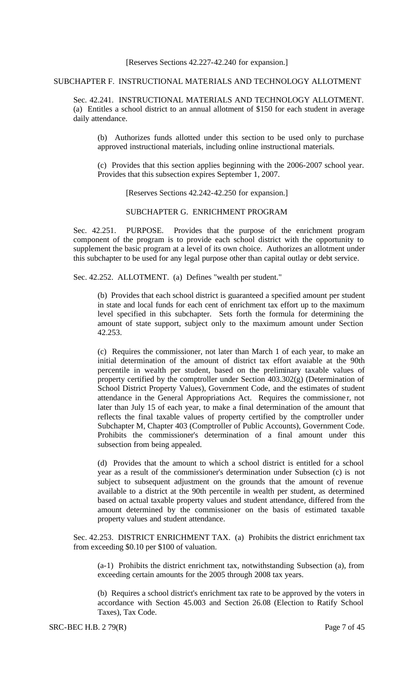SUBCHAPTER F. INSTRUCTIONAL MATERIALS AND TECHNOLOGY ALLOTMENT

Sec. 42.241. INSTRUCTIONAL MATERIALS AND TECHNOLOGY ALLOTMENT. (a) Entitles a school district to an annual allotment of \$150 for each student in average daily attendance.

(b) Authorizes funds allotted under this section to be used only to purchase approved instructional materials, including online instructional materials.

(c) Provides that this section applies beginning with the 2006-2007 school year. Provides that this subsection expires September 1, 2007.

[Reserves Sections 42.242-42.250 for expansion.]

SUBCHAPTER G. ENRICHMENT PROGRAM

Sec. 42.251. PURPOSE. Provides that the purpose of the enrichment program component of the program is to provide each school district with the opportunity to supplement the basic program at a level of its own choice. Authorizes an allotment under this subchapter to be used for any legal purpose other than capital outlay or debt service.

Sec. 42.252. ALLOTMENT. (a) Defines "wealth per student."

(b) Provides that each school district is guaranteed a specified amount per student in state and local funds for each cent of enrichment tax effort up to the maximum level specified in this subchapter. Sets forth the formula for determining the amount of state support, subject only to the maximum amount under Section 42.253.

(c) Requires the commissioner, not later than March 1 of each year, to make an initial determination of the amount of district tax effort avaiable at the 90th percentile in wealth per student, based on the preliminary taxable values of property certified by the comptroller under Section 403.302(g) (Determination of School District Property Values), Government Code, and the estimates of student attendance in the General Appropriations Act. Requires the commissione r, not later than July 15 of each year, to make a final determination of the amount that reflects the final taxable values of property certified by the comptroller under Subchapter M, Chapter 403 (Comptroller of Public Accounts), Government Code. Prohibits the commissioner's determination of a final amount under this subsection from being appealed.

(d) Provides that the amount to which a school district is entitled for a school year as a result of the commissioner's determination under Subsection (c) is not subject to subsequent adjustment on the grounds that the amount of revenue available to a district at the 90th percentile in wealth per student, as determined based on actual taxable property values and student attendance, differed from the amount determined by the commissioner on the basis of estimated taxable property values and student attendance.

Sec. 42.253. DISTRICT ENRICHMENT TAX. (a) Prohibits the district enrichment tax from exceeding \$0.10 per \$100 of valuation.

(a-1) Prohibits the district enrichment tax, notwithstanding Subsection (a), from exceeding certain amounts for the 2005 through 2008 tax years.

(b) Requires a school district's enrichment tax rate to be approved by the voters in accordance with Section 45.003 and Section 26.08 (Election to Ratify School Taxes), Tax Code.

SRC-BEC H.B. 2 79(R) Page 7 of 45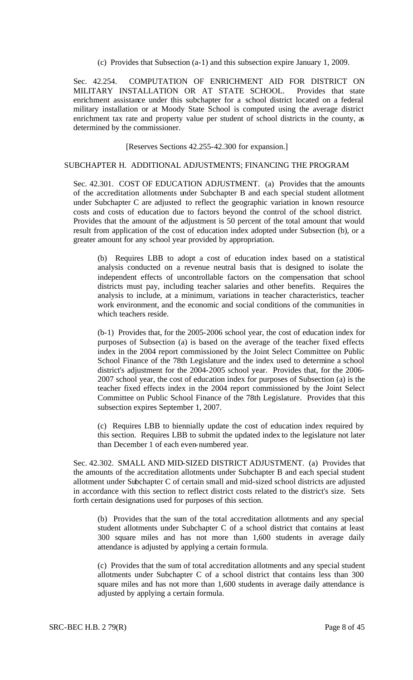(c) Provides that Subsection (a-1) and this subsection expire January 1, 2009.

Sec. 42.254. COMPUTATION OF ENRICHMENT AID FOR DISTRICT ON MILITARY INSTALLATION OR AT STATE SCHOOL. Provides that state enrichment assistance under this subchapter for a school district located on a federal military installation or at Moody State School is computed using the average district enrichment tax rate and property value per student of school districts in the county, as determined by the commissioner.

[Reserves Sections 42.255-42.300 for expansion.]

#### SUBCHAPTER H. ADDITIONAL ADJUSTMENTS; FINANCING THE PROGRAM

Sec. 42.301. COST OF EDUCATION ADJUSTMENT. (a) Provides that the amounts of the accreditation allotments under Subchapter B and each special student allotment under Subchapter C are adjusted to reflect the geographic variation in known resource costs and costs of education due to factors beyond the control of the school district. Provides that the amount of the adjustment is 50 percent of the total amount that would result from application of the cost of education index adopted under Subsection (b), or a greater amount for any school year provided by appropriation.

(b) Requires LBB to adopt a cost of education index based on a statistical analysis conducted on a revenue neutral basis that is designed to isolate the independent effects of uncontrollable factors on the compensation that school districts must pay, including teacher salaries and other benefits. Requires the analysis to include, at a minimum, variations in teacher characteristics, teacher work environment, and the economic and social conditions of the communities in which teachers reside.

(b-1) Provides that, for the 2005-2006 school year, the cost of education index for purposes of Subsection (a) is based on the average of the teacher fixed effects index in the 2004 report commissioned by the Joint Select Committee on Public School Finance of the 78th Legislature and the index used to determine a school district's adjustment for the 2004-2005 school year. Provides that, for the 2006- 2007 school year, the cost of education index for purposes of Subsection (a) is the teacher fixed effects index in the 2004 report commissioned by the Joint Select Committee on Public School Finance of the 78th Legislature. Provides that this subsection expires September 1, 2007.

(c) Requires LBB to biennially update the cost of education index required by this section. Requires LBB to submit the updated index to the legislature not later than December 1 of each even-numbered year.

Sec. 42.302. SMALL AND MID-SIZED DISTRICT ADJUSTMENT. (a) Provides that the amounts of the accreditation allotments under Subchapter B and each special student allotment under Subchapter C of certain small and mid-sized school districts are adjusted in accordance with this section to reflect district costs related to the district's size. Sets forth certain designations used for purposes of this section.

(b) Provides that the sum of the total accreditation allotments and any special student allotments under Subchapter C of a school district that contains at least 300 square miles and has not more than 1,600 students in average daily attendance is adjusted by applying a certain formula.

(c) Provides that the sum of total accreditation allotments and any special student allotments under Subchapter C of a school district that contains less than 300 square miles and has not more than 1,600 students in average daily attendance is adjusted by applying a certain formula.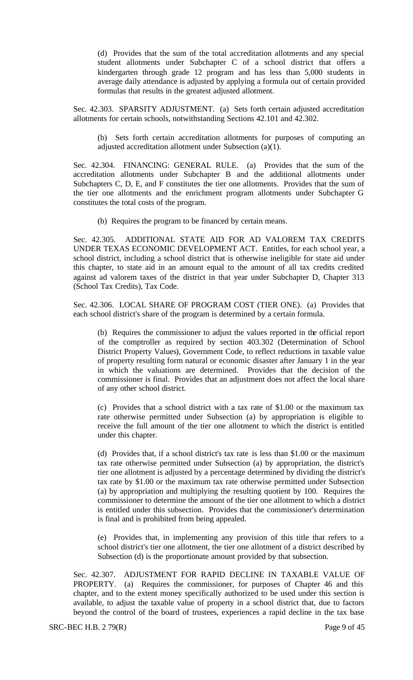(d) Provides that the sum of the total accreditation allotments and any special student allotments under Subchapter C of a school district that offers a kindergarten through grade 12 program and has less than 5,000 students in average daily attendance is adjusted by applying a formula out of certain provided formulas that results in the greatest adjusted allotment.

Sec. 42.303. SPARSITY ADJUSTMENT. (a) Sets forth certain adjusted accreditation allotments for certain schools, notwithstanding Sections 42.101 and 42.302.

(b) Sets forth certain accreditation allotments for purposes of computing an adjusted accreditation allotment under Subsection (a)(1).

Sec. 42.304. FINANCING: GENERAL RULE. (a) Provides that the sum of the accreditation allotments under Subchapter B and the additional allotments under Subchapters C, D, E, and F constitutes the tier one allotments. Provides that the sum of the tier one allotments and the enrichment program allotments under Subchapter G constitutes the total costs of the program.

(b) Requires the program to be financed by certain means.

Sec. 42.305. ADDITIONAL STATE AID FOR AD VALOREM TAX CREDITS UNDER TEXAS ECONOMIC DEVELOPMENT ACT. Entitles, for each school year, a school district, including a school district that is otherwise ineligible for state aid under this chapter, to state aid in an amount equal to the amount of all tax credits credited against ad valorem taxes of the district in that year under Subchapter D, Chapter 313 (School Tax Credits), Tax Code.

Sec. 42.306. LOCAL SHARE OF PROGRAM COST (TIER ONE). (a) Provides that each school district's share of the program is determined by a certain formula.

(b) Requires the commissioner to adjust the values reported in the official report of the comptroller as required by section 403.302 (Determination of School District Property Values), Government Code, to reflect reductions in taxable value of property resulting form natural or economic disaster after January 1 in the year in which the valuations are determined. Provides that the decision of the commissioner is final. Provides that an adjustment does not affect the local share of any other school district.

(c) Provides that a school district with a tax rate of \$1.00 or the maximum tax rate otherwise permitted under Subsection (a) by appropriation is eligible to receive the full amount of the tier one allotment to which the district is entitled under this chapter.

(d) Provides that, if a school district's tax rate is less than \$1.00 or the maximum tax rate otherwise permitted under Subsection (a) by appropriation, the district's tier one allotment is adjusted by a percentage determined by dividing the district's tax rate by \$1.00 or the maximum tax rate otherwise permitted under Subsection (a) by appropriation and multiplying the resulting quotient by 100. Requires the commissioner to determine the amount of the tier one allotment to which a district is entitled under this subsection. Provides that the commissioner's determination is final and is prohibited from being appealed.

(e) Provides that, in implementing any provision of this title that refers to a school district's tier one allotment, the tier one allotment of a district described by Subsection (d) is the proportionate amount provided by that subsection.

Sec. 42.307. ADJUSTMENT FOR RAPID DECLINE IN TAXABLE VALUE OF PROPERTY. (a) Requires the commissioner, for purposes of Chapter 46 and this chapter, and to the extent money specifically authorized to be used under this section is available, to adjust the taxable value of property in a school district that, due to factors beyond the control of the board of trustees, experiences a rapid decline in the tax base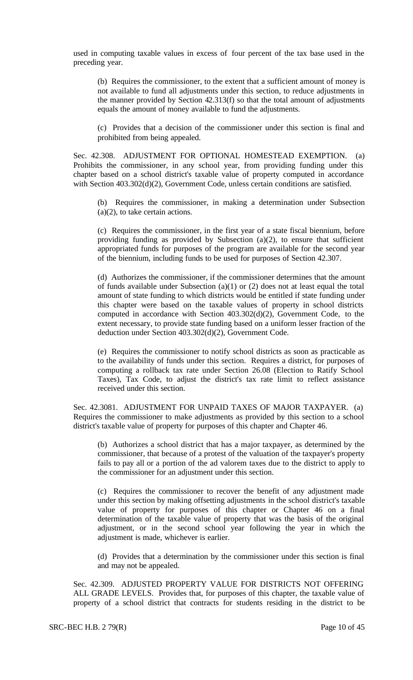used in computing taxable values in excess of four percent of the tax base used in the preceding year.

(b) Requires the commissioner, to the extent that a sufficient amount of money is not available to fund all adjustments under this section, to reduce adjustments in the manner provided by Section 42.313(f) so that the total amount of adjustments equals the amount of money available to fund the adjustments.

(c) Provides that a decision of the commissioner under this section is final and prohibited from being appealed.

Sec. 42.308. ADJUSTMENT FOR OPTIONAL HOMESTEAD EXEMPTION. (a) Prohibits the commissioner, in any school year, from providing funding under this chapter based on a school district's taxable value of property computed in accordance with Section 403.302(d)(2), Government Code, unless certain conditions are satisfied.

(b) Requires the commissioner, in making a determination under Subsection (a)(2), to take certain actions.

(c) Requires the commissioner, in the first year of a state fiscal biennium, before providing funding as provided by Subsection (a)(2), to ensure that sufficient appropriated funds for purposes of the program are available for the second year of the biennium, including funds to be used for purposes of Section 42.307.

(d) Authorizes the commissioner, if the commissioner determines that the amount of funds available under Subsection (a)(1) or (2) does not at least equal the total amount of state funding to which districts would be entitled if state funding under this chapter were based on the taxable values of property in school districts computed in accordance with Section 403.302(d)(2), Government Code, to the extent necessary, to provide state funding based on a uniform lesser fraction of the deduction under Section 403.302(d)(2), Government Code.

(e) Requires the commissioner to notify school districts as soon as practicable as to the availability of funds under this section. Requires a district, for purposes of computing a rollback tax rate under Section 26.08 (Election to Ratify School Taxes), Tax Code, to adjust the district's tax rate limit to reflect assistance received under this section.

Sec. 42.3081. ADJUSTMENT FOR UNPAID TAXES OF MAJOR TAXPAYER. (a) Requires the commissioner to make adjustments as provided by this section to a school district's taxable value of property for purposes of this chapter and Chapter 46.

(b) Authorizes a school district that has a major taxpayer, as determined by the commissioner, that because of a protest of the valuation of the taxpayer's property fails to pay all or a portion of the ad valorem taxes due to the district to apply to the commissioner for an adjustment under this section.

(c) Requires the commissioner to recover the benefit of any adjustment made under this section by making offsetting adjustments in the school district's taxable value of property for purposes of this chapter or Chapter 46 on a final determination of the taxable value of property that was the basis of the original adjustment, or in the second school year following the year in which the adjustment is made, whichever is earlier.

(d) Provides that a determination by the commissioner under this section is final and may not be appealed.

Sec. 42.309. ADJUSTED PROPERTY VALUE FOR DISTRICTS NOT OFFERING ALL GRADE LEVELS. Provides that, for purposes of this chapter, the taxable value of property of a school district that contracts for students residing in the district to be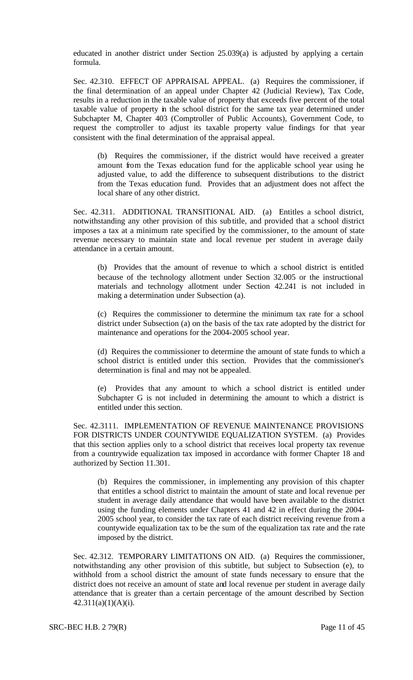educated in another district under Section 25.039(a) is adjusted by applying a certain formula.

Sec. 42.310. EFFECT OF APPRAISAL APPEAL. (a) Requires the commissioner, if the final determination of an appeal under Chapter 42 (Judicial Review), Tax Code, results in a reduction in the taxable value of property that exceeds five percent of the total taxable value of property in the school district for the same tax year determined under Subchapter M, Chapter 403 (Comptroller of Public Accounts), Government Code, to request the comptroller to adjust its taxable property value findings for that year consistent with the final determination of the appraisal appeal.

(b) Requires the commissioner, if the district would have received a greater amount from the Texas education fund for the applicable school year using he adjusted value, to add the difference to subsequent distributions to the district from the Texas education fund. Provides that an adjustment does not affect the local share of any other district.

Sec. 42.311. ADDITIONAL TRANSITIONAL AID. (a) Entitles a school district, notwithstanding any other provision of this subtitle, and provided that a school district imposes a tax at a minimum rate specified by the commissioner, to the amount of state revenue necessary to maintain state and local revenue per student in average daily attendance in a certain amount.

(b) Provides that the amount of revenue to which a school district is entitled because of the technology allotment under Section 32.005 or the instructional materials and technology allotment under Section 42.241 is not included in making a determination under Subsection (a).

(c) Requires the commissioner to determine the minimum tax rate for a school district under Subsection (a) on the basis of the tax rate adopted by the district for maintenance and operations for the 2004-2005 school year.

(d) Requires the commissioner to determine the amount of state funds to which a school district is entitled under this section. Provides that the commissioner's determination is final and may not be appealed.

(e) Provides that any amount to which a school district is entitled under Subchapter G is not included in determining the amount to which a district is entitled under this section.

Sec. 42.3111. IMPLEMENTATION OF REVENUE MAINTENANCE PROVISIONS FOR DISTRICTS UNDER COUNTYWIDE EQUALIZATION SYSTEM. (a) Provides that this section applies only to a school district that receives local property tax revenue from a countrywide equalization tax imposed in accordance with former Chapter 18 and authorized by Section 11.301.

(b) Requires the commissioner, in implementing any provision of this chapter that entitles a school district to maintain the amount of state and local revenue per student in average daily attendance that would have been available to the district using the funding elements under Chapters 41 and 42 in effect during the 2004- 2005 school year, to consider the tax rate of each district receiving revenue from a countywide equalization tax to be the sum of the equalization tax rate and the rate imposed by the district.

Sec. 42.312. TEMPORARY LIMITATIONS ON AID. (a) Requires the commissioner, notwithstanding any other provision of this subtitle, but subject to Subsection (e), to withhold from a school district the amount of state funds necessary to ensure that the district does not receive an amount of state and local revenue per student in average daily attendance that is greater than a certain percentage of the amount described by Section  $42.311(a)(1)(A)(i).$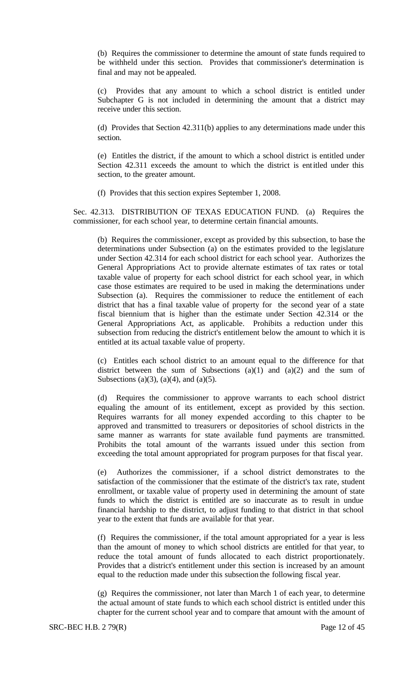(b) Requires the commissioner to determine the amount of state funds required to be withheld under this section. Provides that commissioner's determination is final and may not be appealed.

(c) Provides that any amount to which a school district is entitled under Subchapter G is not included in determining the amount that a district may receive under this section.

(d) Provides that Section 42.311(b) applies to any determinations made under this section.

(e) Entitles the district, if the amount to which a school district is entitled under Section 42.311 exceeds the amount to which the district is entitled under this section, to the greater amount.

(f) Provides that this section expires September 1, 2008.

Sec. 42.313. DISTRIBUTION OF TEXAS EDUCATION FUND. (a) Requires the commissioner, for each school year, to determine certain financial amounts.

(b) Requires the commissioner, except as provided by this subsection, to base the determinations under Subsection (a) on the estimates provided to the legislature under Section 42.314 for each school district for each school year. Authorizes the General Appropriations Act to provide alternate estimates of tax rates or total taxable value of property for each school district for each school year, in which case those estimates are required to be used in making the determinations under Subsection (a). Requires the commissioner to reduce the entitlement of each district that has a final taxable value of property for the second year of a state fiscal biennium that is higher than the estimate under Section 42.314 or the General Appropriations Act, as applicable. Prohibits a reduction under this subsection from reducing the district's entitlement below the amount to which it is entitled at its actual taxable value of property.

(c) Entitles each school district to an amount equal to the difference for that district between the sum of Subsections  $(a)(1)$  and  $(a)(2)$  and the sum of Subsections (a)(3), (a)(4), and (a)(5).

(d) Requires the commissioner to approve warrants to each school district equaling the amount of its entitlement, except as provided by this section. Requires warrants for all money expended according to this chapter to be approved and transmitted to treasurers or depositories of school districts in the same manner as warrants for state available fund payments are transmitted. Prohibits the total amount of the warrants issued under this section from exceeding the total amount appropriated for program purposes for that fiscal year.

(e) Authorizes the commissioner, if a school district demonstrates to the satisfaction of the commissioner that the estimate of the district's tax rate, student enrollment, or taxable value of property used in determining the amount of state funds to which the district is entitled are so inaccurate as to result in undue financial hardship to the district, to adjust funding to that district in that school year to the extent that funds are available for that year.

(f) Requires the commissioner, if the total amount appropriated for a year is less than the amount of money to which school districts are entitled for that year, to reduce the total amount of funds allocated to each district proportionately. Provides that a district's entitlement under this section is increased by an amount equal to the reduction made under this subsection the following fiscal year.

(g) Requires the commissioner, not later than March 1 of each year, to determine the actual amount of state funds to which each school district is entitled under this chapter for the current school year and to compare that amount with the amount of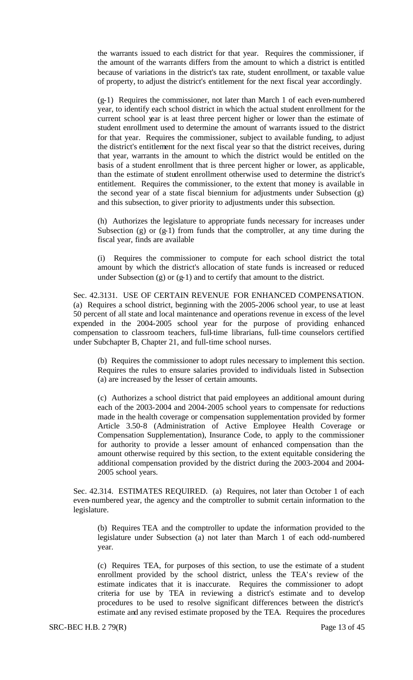the warrants issued to each district for that year. Requires the commissioner, if the amount of the warrants differs from the amount to which a district is entitled because of variations in the district's tax rate, student enrollment, or taxable value of property, to adjust the district's entitlement for the next fiscal year accordingly.

(g-1) Requires the commissioner, not later than March 1 of each even-numbered year, to identify each school district in which the actual student enrollment for the current school year is at least three percent higher or lower than the estimate of student enrollment used to determine the amount of warrants issued to the district for that year. Requires the commissioner, subject to available funding, to adjust the district's entitlement for the next fiscal year so that the district receives, during that year, warrants in the amount to which the district would be entitled on the basis of a student enrollment that is three percent higher or lower, as applicable, than the estimate of student enrollment otherwise used to determine the district's entitlement. Requires the commissioner, to the extent that money is available in the second year of a state fiscal biennium for adjustments under Subsection (g) and this subsection, to giver priority to adjustments under this subsection.

(h) Authorizes the legislature to appropriate funds necessary for increases under Subsection  $(g)$  or  $(g-1)$  from funds that the comptroller, at any time during the fiscal year, finds are available

(i) Requires the commissioner to compute for each school district the total amount by which the district's allocation of state funds is increased or reduced under Subsection  $(g)$  or  $(g-1)$  and to certify that amount to the district.

Sec. 42.3131. USE OF CERTAIN REVENUE FOR ENHANCED COMPENSATION. (a) Requires a school district, beginning with the 2005-2006 school year, to use at least 50 percent of all state and local maintenance and operations revenue in excess of the level expended in the 2004-2005 school year for the purpose of providing enhanced compensation to classroom teachers, full-time librarians, full-time counselors certified under Subchapter B, Chapter 21, and full-time school nurses.

(b) Requires the commissioner to adopt rules necessary to implement this section. Requires the rules to ensure salaries provided to individuals listed in Subsection (a) are increased by the lesser of certain amounts.

(c) Authorizes a school district that paid employees an additional amount during each of the 2003-2004 and 2004-2005 school years to compensate for reductions made in the health coverage or compensation supplementation provided by former Article 3.50-8 (Administration of Active Employee Health Coverage or Compensation Supplementation), Insurance Code, to apply to the commissioner for authority to provide a lesser amount of enhanced compensation than the amount otherwise required by this section, to the extent equitable considering the additional compensation provided by the district during the 2003-2004 and 2004- 2005 school years.

Sec. 42.314. ESTIMATES REQUIRED. (a) Requires, not later than October 1 of each even-numbered year, the agency and the comptroller to submit certain information to the legislature.

(b) Requires TEA and the comptroller to update the information provided to the legislature under Subsection (a) not later than March 1 of each odd-numbered year.

(c) Requires TEA, for purposes of this section, to use the estimate of a student enrollment provided by the school district, unless the TEA's review of the estimate indicates that it is inaccurate. Requires the commissioner to adopt criteria for use by TEA in reviewing a district's estimate and to develop procedures to be used to resolve significant differences between the district's estimate and any revised estimate proposed by the TEA. Requires the procedures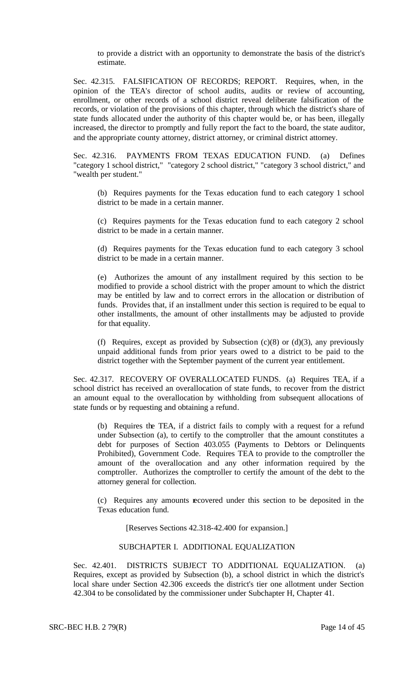to provide a district with an opportunity to demonstrate the basis of the district's estimate.

Sec. 42.315. FALSIFICATION OF RECORDS; REPORT. Requires, when, in the opinion of the TEA's director of school audits, audits or review of accounting, enrollment, or other records of a school district reveal deliberate falsification of the records, or violation of the provisions of this chapter, through which the district's share of state funds allocated under the authority of this chapter would be, or has been, illegally increased, the director to promptly and fully report the fact to the board, the state auditor, and the appropriate county attorney, district attorney, or criminal district attorney.

Sec. 42.316. PAYMENTS FROM TEXAS EDUCATION FUND. (a) Defines "category 1 school district," "category 2 school district," "category 3 school district," and "wealth per student."

(b) Requires payments for the Texas education fund to each category 1 school district to be made in a certain manner.

(c) Requires payments for the Texas education fund to each category 2 school district to be made in a certain manner.

(d) Requires payments for the Texas education fund to each category 3 school district to be made in a certain manner.

(e) Authorizes the amount of any installment required by this section to be modified to provide a school district with the proper amount to which the district may be entitled by law and to correct errors in the allocation or distribution of funds. Provides that, if an installment under this section is required to be equal to other installments, the amount of other installments may be adjusted to provide for that equality.

(f) Requires, except as provided by Subsection  $(c)(8)$  or  $(d)(3)$ , any previously unpaid additional funds from prior years owed to a district to be paid to the district together with the September payment of the current year entitlement.

Sec. 42.317. RECOVERY OF OVERALLOCATED FUNDS. (a) Requires TEA, if a school district has received an overallocation of state funds, to recover from the district an amount equal to the overallocation by withholding from subsequent allocations of state funds or by requesting and obtaining a refund.

(b) Requires the TEA, if a district fails to comply with a request for a refund under Subsection (a), to certify to the comptroller that the amount constitutes a debt for purposes of Section 403.055 (Payments to Debtors or Delinquents Prohibited), Government Code. Requires TEA to provide to the comptroller the amount of the overallocation and any other information required by the comptroller. Authorizes the comptroller to certify the amount of the debt to the attorney general for collection.

(c) Requires any amounts recovered under this section to be deposited in the Texas education fund.

[Reserves Sections 42.318-42.400 for expansion.]

# SUBCHAPTER I. ADDITIONAL EQUALIZATION

Sec. 42.401. DISTRICTS SUBJECT TO ADDITIONAL EQUALIZATION. (a) Requires, except as provided by Subsection (b), a school district in which the district's local share under Section 42.306 exceeds the district's tier one allotment under Section 42.304 to be consolidated by the commissioner under Subchapter H, Chapter 41.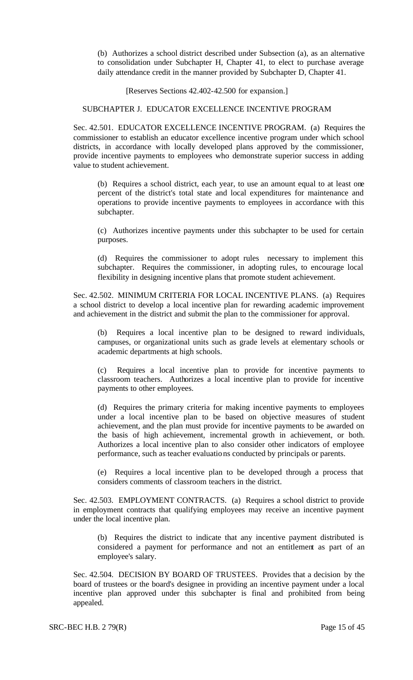(b) Authorizes a school district described under Subsection (a), as an alternative to consolidation under Subchapter H, Chapter 41, to elect to purchase average daily attendance credit in the manner provided by Subchapter D, Chapter 41.

[Reserves Sections 42.402-42.500 for expansion.]

#### SUBCHAPTER J. EDUCATOR EXCELLENCE INCENTIVE PROGRAM

Sec. 42.501. EDUCATOR EXCELLENCE INCENTIVE PROGRAM. (a) Requires the commissioner to establish an educator excellence incentive program under which school districts, in accordance with locally developed plans approved by the commissioner, provide incentive payments to employees who demonstrate superior success in adding value to student achievement.

(b) Requires a school district, each year, to use an amount equal to at least one percent of the district's total state and local expenditures for maintenance and operations to provide incentive payments to employees in accordance with this subchapter.

(c) Authorizes incentive payments under this subchapter to be used for certain purposes.

(d) Requires the commissioner to adopt rules necessary to implement this subchapter. Requires the commissioner, in adopting rules, to encourage local flexibility in designing incentive plans that promote student achievement.

Sec. 42.502. MINIMUM CRITERIA FOR LOCAL INCENTIVE PLANS. (a) Requires a school district to develop a local incentive plan for rewarding academic improvement and achievement in the district and submit the plan to the commissioner for approval.

(b) Requires a local incentive plan to be designed to reward individuals, campuses, or organizational units such as grade levels at elementary schools or academic departments at high schools.

(c) Requires a local incentive plan to provide for incentive payments to classroom teachers. Authorizes a local incentive plan to provide for incentive payments to other employees.

(d) Requires the primary criteria for making incentive payments to employees under a local incentive plan to be based on objective measures of student achievement, and the plan must provide for incentive payments to be awarded on the basis of high achievement, incremental growth in achievement, or both. Authorizes a local incentive plan to also consider other indicators of employee performance, such as teacher evaluations conducted by principals or parents.

(e) Requires a local incentive plan to be developed through a process that considers comments of classroom teachers in the district.

Sec. 42.503. EMPLOYMENT CONTRACTS. (a) Requires a school district to provide in employment contracts that qualifying employees may receive an incentive payment under the local incentive plan.

(b) Requires the district to indicate that any incentive payment distributed is considered a payment for performance and not an entitlement as part of an employee's salary.

Sec. 42.504. DECISION BY BOARD OF TRUSTEES. Provides that a decision by the board of trustees or the board's designee in providing an incentive payment under a local incentive plan approved under this subchapter is final and prohibited from being appealed.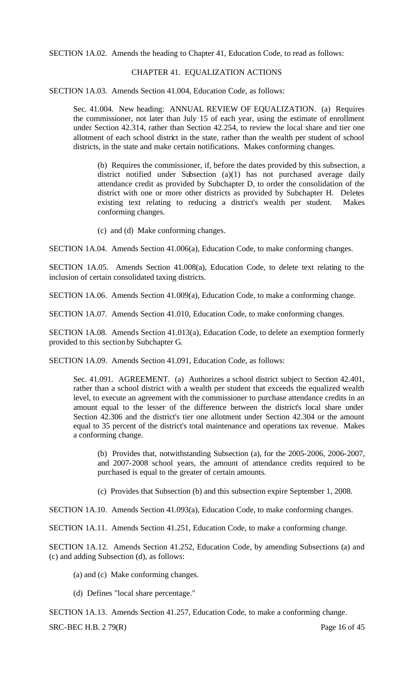SECTION 1A.02. Amends the heading to Chapter 41, Education Code, to read as follows:

### CHAPTER 41. EQUALIZATION ACTIONS

SECTION 1A.03. Amends Section 41.004, Education Code, as follows:

Sec. 41.004. New heading: ANNUAL REVIEW OF EQUALIZATION. (a) Requires the commissioner, not later than July 15 of each year, using the estimate of enrollment under Section 42.314, rather than Section 42.254, to review the local share and tier one allotment of each school district in the state, rather than the wealth per student of school districts, in the state and make certain notifications. Makes conforming changes.

(b) Requires the commissioner, if, before the dates provided by this subsection, a district notified under Subsection (a)(1) has not purchased average daily attendance credit as provided by Subchapter D, to order the consolidation of the district with one or more other districts as provided by Subchapter H. Deletes existing text relating to reducing a district's wealth per student. Makes conforming changes.

(c) and (d) Make conforming changes.

SECTION 1A.04. Amends Section 41.006(a), Education Code, to make conforming changes.

SECTION 1A.05. Amends Section 41.008(a), Education Code, to delete text relating to the inclusion of certain consolidated taxing districts.

SECTION 1A.06. Amends Section 41.009(a), Education Code, to make a conforming change.

SECTION 1A.07. Amends Section 41.010, Education Code, to make conforming changes.

SECTION 1A.08. Amends Section 41.013(a), Education Code, to delete an exemption formerly provided to this section by Subchapter G.

SECTION 1A.09. Amends Section 41.091, Education Code, as follows:

Sec. 41.091. AGREEMENT. (a) Authorizes a school district subject to Section 42.401, rather than a school district with a wealth per student that exceeds the equalized wealth level, to execute an agreement with the commissioner to purchase attendance credits in an amount equal to the lesser of the difference between the district's local share under Section 42.306 and the district's tier one allotment under Section 42.304 or the amount equal to 35 percent of the district's total maintenance and operations tax revenue. Makes a conforming change.

(b) Provides that, notwithstanding Subsection (a), for the 2005-2006, 2006-2007, and 2007-2008 school years, the amount of attendance credits required to be purchased is equal to the greater of certain amounts.

(c) Provides that Subsection (b) and this subsection expire September 1, 2008.

SECTION 1A.10. Amends Section 41.093(a), Education Code, to make conforming changes.

SECTION 1A.11. Amends Section 41.251, Education Code, to make a conforming change.

SECTION 1A.12. Amends Section 41.252, Education Code, by amending Subsections (a) and (c) and adding Subsection (d), as follows:

(a) and (c) Make conforming changes.

(d) Defines "local share percentage."

SECTION 1A.13. Amends Section 41.257, Education Code, to make a conforming change.

 $SRC-BEC H.B. 279(R)$  Page 16 of 45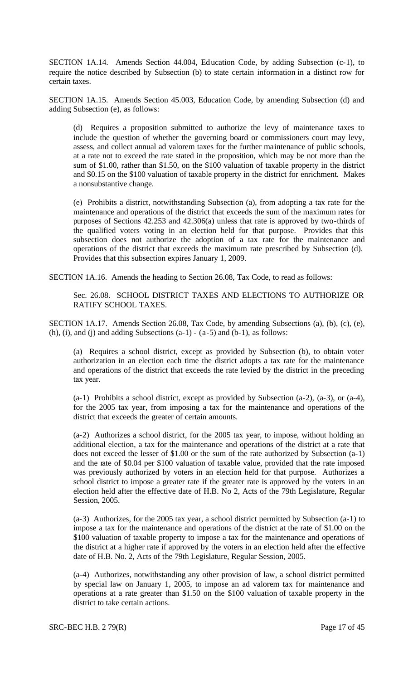SECTION 1A.14. Amends Section 44.004, Education Code, by adding Subsection (c-1), to require the notice described by Subsection (b) to state certain information in a distinct row for certain taxes.

SECTION 1A.15. Amends Section 45.003, Education Code, by amending Subsection (d) and adding Subsection (e), as follows:

(d) Requires a proposition submitted to authorize the levy of maintenance taxes to include the question of whether the governing board or commissioners court may levy, assess, and collect annual ad valorem taxes for the further maintenance of public schools, at a rate not to exceed the rate stated in the proposition, which may be not more than the sum of \$1.00, rather than \$1.50, on the \$100 valuation of taxable property in the district and \$0.15 on the \$100 valuation of taxable property in the district for enrichment. Makes a nonsubstantive change.

(e) Prohibits a district, notwithstanding Subsection (a), from adopting a tax rate for the maintenance and operations of the district that exceeds the sum of the maximum rates for purposes of Sections 42.253 and 42.306(a) unless that rate is approved by two-thirds of the qualified voters voting in an election held for that purpose. Provides that this subsection does not authorize the adoption of a tax rate for the maintenance and operations of the district that exceeds the maximum rate prescribed by Subsection (d). Provides that this subsection expires January 1, 2009.

SECTION 1A.16. Amends the heading to Section 26.08, Tax Code, to read as follows:

Sec. 26.08. SCHOOL DISTRICT TAXES AND ELECTIONS TO AUTHORIZE OR RATIFY SCHOOL TAXES.

SECTION 1A.17. Amends Section 26.08, Tax Code, by amending Subsections (a), (b), (c), (e), (h), (i), and (j) and adding Subsections  $(a-1) - (a-5)$  and  $(b-1)$ , as follows:

(a) Requires a school district, except as provided by Subsection (b), to obtain voter authorization in an election each time the district adopts a tax rate for the maintenance and operations of the district that exceeds the rate levied by the district in the preceding tax year.

(a-1) Prohibits a school district, except as provided by Subsection (a-2), (a-3), or (a-4), for the 2005 tax year, from imposing a tax for the maintenance and operations of the district that exceeds the greater of certain amounts.

(a-2) Authorizes a school district, for the 2005 tax year, to impose, without holding an additional election, a tax for the maintenance and operations of the district at a rate that does not exceed the lesser of \$1.00 or the sum of the rate authorized by Subsection (a-1) and the rate of \$0.04 per \$100 valuation of taxable value, provided that the rate imposed was previously authorized by voters in an election held for that purpose. Authorizes a school district to impose a greater rate if the greater rate is approved by the voters in an election held after the effective date of H.B. No 2, Acts of the 79th Legislature, Regular Session, 2005.

(a-3) Authorizes, for the 2005 tax year, a school district permitted by Subsection (a-1) to impose a tax for the maintenance and operations of the district at the rate of \$1.00 on the \$100 valuation of taxable property to impose a tax for the maintenance and operations of the district at a higher rate if approved by the voters in an election held after the effective date of H.B. No. 2, Acts of the 79th Legislature, Regular Session, 2005.

(a-4) Authorizes, notwithstanding any other provision of law, a school district permitted by special law on January 1, 2005, to impose an ad valorem tax for maintenance and operations at a rate greater than \$1.50 on the \$100 valuation of taxable property in the district to take certain actions.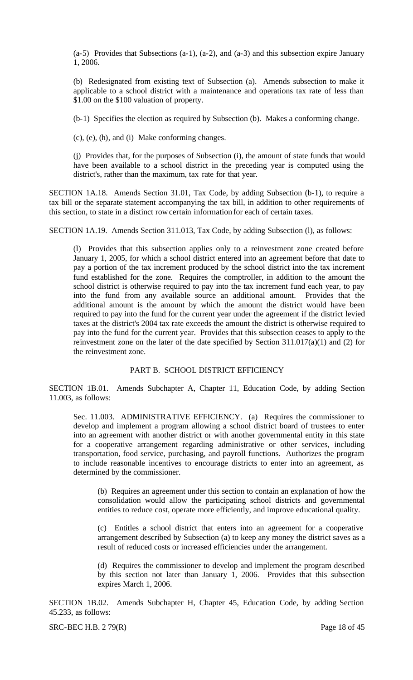(a-5) Provides that Subsections (a-1), (a-2), and (a-3) and this subsection expire January 1, 2006.

(b) Redesignated from existing text of Subsection (a). Amends subsection to make it applicable to a school district with a maintenance and operations tax rate of less than \$1.00 on the \$100 valuation of property.

(b-1) Specifies the election as required by Subsection (b). Makes a conforming change.

(c), (e), (h), and (i) Make conforming changes.

(j) Provides that, for the purposes of Subsection (i), the amount of state funds that would have been available to a school district in the preceding year is computed using the district's, rather than the maximum, tax rate for that year.

SECTION 1A.18. Amends Section 31.01, Tax Code, by adding Subsection (b-1), to require a tax bill or the separate statement accompanying the tax bill, in addition to other requirements of this section, to state in a distinct row certain information for each of certain taxes.

SECTION 1A.19. Amends Section 311.013, Tax Code, by adding Subsection (l), as follows:

(l) Provides that this subsection applies only to a reinvestment zone created before January 1, 2005, for which a school district entered into an agreement before that date to pay a portion of the tax increment produced by the school district into the tax increment fund established for the zone. Requires the comptroller, in addition to the amount the school district is otherwise required to pay into the tax increment fund each year, to pay into the fund from any available source an additional amount. Provides that the additional amount is the amount by which the amount the district would have been required to pay into the fund for the current year under the agreement if the district levied taxes at the district's 2004 tax rate exceeds the amount the district is otherwise required to pay into the fund for the current year. Provides that this subsection ceases to apply to the reinvestment zone on the later of the date specified by Section 311.017(a)(1) and (2) for the reinvestment zone.

### PART B. SCHOOL DISTRICT EFFICIENCY

SECTION 1B.01. Amends Subchapter A, Chapter 11, Education Code, by adding Section 11.003, as follows:

Sec. 11.003. ADMINISTRATIVE EFFICIENCY. (a) Requires the commissioner to develop and implement a program allowing a school district board of trustees to enter into an agreement with another district or with another governmental entity in this state for a cooperative arrangement regarding administrative or other services, including transportation, food service, purchasing, and payroll functions. Authorizes the program to include reasonable incentives to encourage districts to enter into an agreement, as determined by the commissioner.

(b) Requires an agreement under this section to contain an explanation of how the consolidation would allow the participating school districts and governmental entities to reduce cost, operate more efficiently, and improve educational quality.

(c) Entitles a school district that enters into an agreement for a cooperative arrangement described by Subsection (a) to keep any money the district saves as a result of reduced costs or increased efficiencies under the arrangement.

(d) Requires the commissioner to develop and implement the program described by this section not later than January 1, 2006. Provides that this subsection expires March 1, 2006.

SECTION 1B.02. Amends Subchapter H, Chapter 45, Education Code, by adding Section 45.233, as follows:

 $SRC-BEC H.B. 279(R)$  Page 18 of 45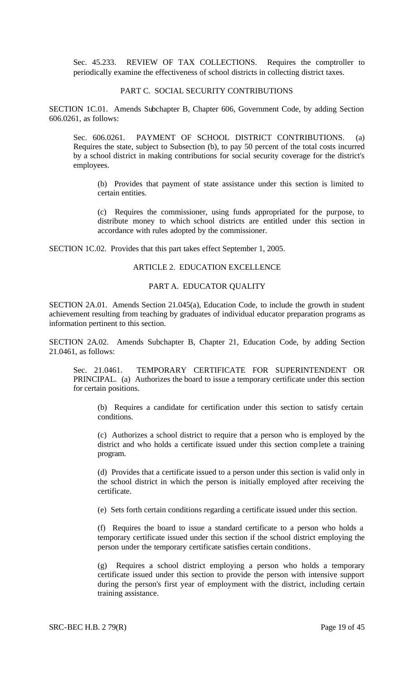Sec. 45.233. REVIEW OF TAX COLLECTIONS. Requires the comptroller to periodically examine the effectiveness of school districts in collecting district taxes.

#### PART C. SOCIAL SECURITY CONTRIBUTIONS

SECTION 1C.01. Amends Subchapter B, Chapter 606, Government Code, by adding Section 606.0261, as follows:

Sec. 606.0261. PAYMENT OF SCHOOL DISTRICT CONTRIBUTIONS. (a) Requires the state, subject to Subsection (b), to pay 50 percent of the total costs incurred by a school district in making contributions for social security coverage for the district's employees.

(b) Provides that payment of state assistance under this section is limited to certain entities.

(c) Requires the commissioner, using funds appropriated for the purpose, to distribute money to which school districts are entitled under this section in accordance with rules adopted by the commissioner.

SECTION 1C.02. Provides that this part takes effect September 1, 2005.

#### ARTICLE 2. EDUCATION EXCELLENCE

#### PART A. EDUCATOR QUALITY

SECTION 2A.01. Amends Section 21.045(a), Education Code, to include the growth in student achievement resulting from teaching by graduates of individual educator preparation programs as information pertinent to this section.

SECTION 2A.02. Amends Subchapter B, Chapter 21, Education Code, by adding Section 21.0461, as follows:

Sec. 21.0461. TEMPORARY CERTIFICATE FOR SUPERINTENDENT OR PRINCIPAL. (a) Authorizes the board to issue a temporary certificate under this section for certain positions.

(b) Requires a candidate for certification under this section to satisfy certain conditions.

(c) Authorizes a school district to require that a person who is employed by the district and who holds a certificate issued under this section complete a training program.

(d) Provides that a certificate issued to a person under this section is valid only in the school district in which the person is initially employed after receiving the certificate.

(e) Sets forth certain conditions regarding a certificate issued under this section.

(f) Requires the board to issue a standard certificate to a person who holds a temporary certificate issued under this section if the school district employing the person under the temporary certificate satisfies certain conditions.

(g) Requires a school district employing a person who holds a temporary certificate issued under this section to provide the person with intensive support during the person's first year of employment with the district, including certain training assistance.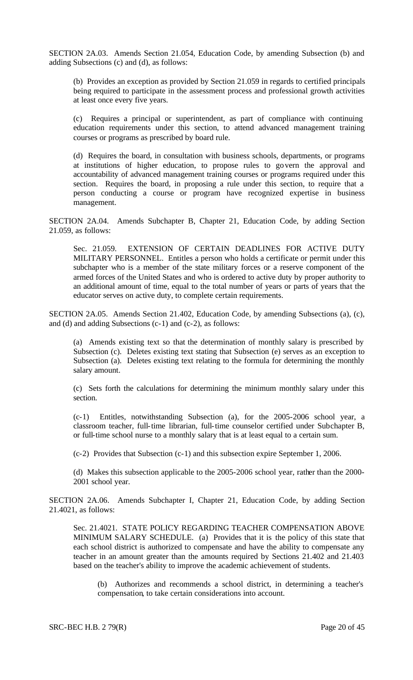SECTION 2A.03. Amends Section 21.054, Education Code, by amending Subsection (b) and adding Subsections (c) and (d), as follows:

(b) Provides an exception as provided by Section 21.059 in regards to certified principals being required to participate in the assessment process and professional growth activities at least once every five years.

(c) Requires a principal or superintendent, as part of compliance with continuing education requirements under this section, to attend advanced management training courses or programs as prescribed by board rule.

(d) Requires the board, in consultation with business schools, departments, or programs at institutions of higher education, to propose rules to govern the approval and accountability of advanced management training courses or programs required under this section. Requires the board, in proposing a rule under this section, to require that a person conducting a course or program have recognized expertise in business management.

SECTION 2A.04. Amends Subchapter B, Chapter 21, Education Code, by adding Section 21.059, as follows:

Sec. 21.059. EXTENSION OF CERTAIN DEADLINES FOR ACTIVE DUTY MILITARY PERSONNEL. Entitles a person who holds a certificate or permit under this subchapter who is a member of the state military forces or a reserve component of the armed forces of the United States and who is ordered to active duty by proper authority to an additional amount of time, equal to the total number of years or parts of years that the educator serves on active duty, to complete certain requirements.

SECTION 2A.05. Amends Section 21.402, Education Code, by amending Subsections (a), (c), and (d) and adding Subsections (c-1) and (c-2), as follows:

(a) Amends existing text so that the determination of monthly salary is prescribed by Subsection (c). Deletes existing text stating that Subsection (e) serves as an exception to Subsection (a). Deletes existing text relating to the formula for determining the monthly salary amount.

(c) Sets forth the calculations for determining the minimum monthly salary under this section.

(c-1) Entitles, notwithstanding Subsection (a), for the 2005-2006 school year, a classroom teacher, full-time librarian, full-time counselor certified under Subchapter B, or full-time school nurse to a monthly salary that is at least equal to a certain sum.

(c-2) Provides that Subsection (c-1) and this subsection expire September 1, 2006.

(d) Makes this subsection applicable to the 2005-2006 school year, rather than the 2000- 2001 school year.

SECTION 2A.06. Amends Subchapter I, Chapter 21, Education Code, by adding Section 21.4021, as follows:

Sec. 21.4021. STATE POLICY REGARDING TEACHER COMPENSATION ABOVE MINIMUM SALARY SCHEDULE. (a) Provides that it is the policy of this state that each school district is authorized to compensate and have the ability to compensate any teacher in an amount greater than the amounts required by Sections 21.402 and 21.403 based on the teacher's ability to improve the academic achievement of students.

(b) Authorizes and recommends a school district, in determining a teacher's compensation, to take certain considerations into account.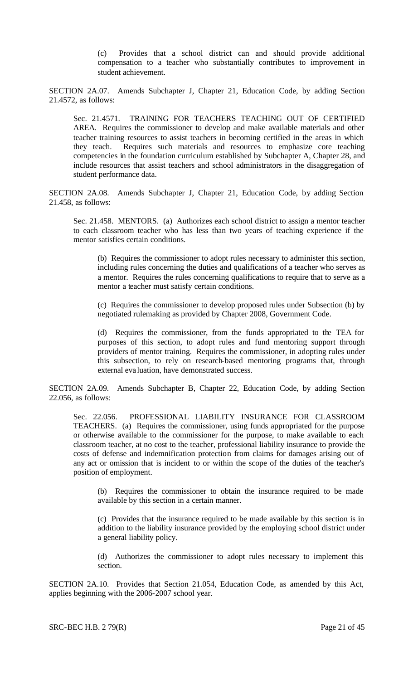(c) Provides that a school district can and should provide additional compensation to a teacher who substantially contributes to improvement in student achievement.

SECTION 2A.07. Amends Subchapter J, Chapter 21, Education Code, by adding Section 21.4572, as follows:

Sec. 21.4571. TRAINING FOR TEACHERS TEACHING OUT OF CERTIFIED AREA. Requires the commissioner to develop and make available materials and other teacher training resources to assist teachers in becoming certified in the areas in which they teach. Requires such materials and resources to emphasize core teaching competencies in the foundation curriculum established by Subchapter A, Chapter 28, and include resources that assist teachers and school administrators in the disaggregation of student performance data.

SECTION 2A.08. Amends Subchapter J, Chapter 21, Education Code, by adding Section 21.458, as follows:

Sec. 21.458. MENTORS. (a) Authorizes each school district to assign a mentor teacher to each classroom teacher who has less than two years of teaching experience if the mentor satisfies certain conditions.

(b) Requires the commissioner to adopt rules necessary to administer this section, including rules concerning the duties and qualifications of a teacher who serves as a mentor. Requires the rules concerning qualifications to require that to serve as a mentor a teacher must satisfy certain conditions.

(c) Requires the commissioner to develop proposed rules under Subsection (b) by negotiated rulemaking as provided by Chapter 2008, Government Code.

(d) Requires the commissioner, from the funds appropriated to the TEA for purposes of this section, to adopt rules and fund mentoring support through providers of mentor training. Requires the commissioner, in adopting rules under this subsection, to rely on research-based mentoring programs that, through external eva luation, have demonstrated success.

SECTION 2A.09. Amends Subchapter B, Chapter 22, Education Code, by adding Section 22.056, as follows:

Sec. 22.056. PROFESSIONAL LIABILITY INSURANCE FOR CLASSROOM TEACHERS. (a) Requires the commissioner, using funds appropriated for the purpose or otherwise available to the commissioner for the purpose, to make available to each classroom teacher, at no cost to the teacher, professional liability insurance to provide the costs of defense and indemnification protection from claims for damages arising out of any act or omission that is incident to or within the scope of the duties of the teacher's position of employment.

(b) Requires the commissioner to obtain the insurance required to be made available by this section in a certain manner.

(c) Provides that the insurance required to be made available by this section is in addition to the liability insurance provided by the employing school district under a general liability policy.

(d) Authorizes the commissioner to adopt rules necessary to implement this section.

SECTION 2A.10. Provides that Section 21.054, Education Code, as amended by this Act, applies beginning with the 2006-2007 school year.

SRC-BEC H.B. 2 79(R) Page 21 of 45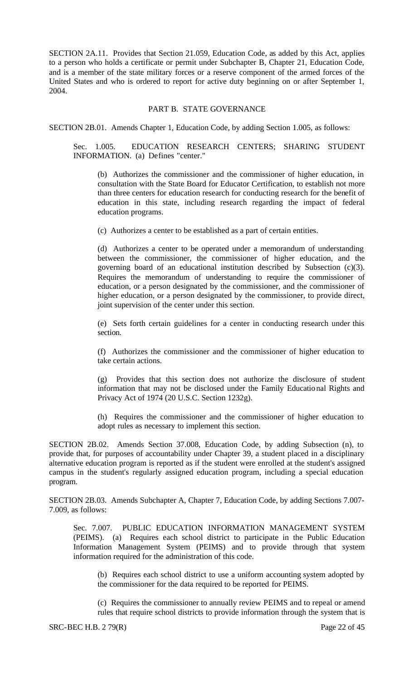SECTION 2A.11. Provides that Section 21.059, Education Code, as added by this Act, applies to a person who holds a certificate or permit under Subchapter B, Chapter 21, Education Code, and is a member of the state military forces or a reserve component of the armed forces of the United States and who is ordered to report for active duty beginning on or after September 1, 2004.

### PART B. STATE GOVERNANCE

SECTION 2B.01. Amends Chapter 1, Education Code, by adding Section 1.005, as follows:

Sec. 1.005. EDUCATION RESEARCH CENTERS; SHARING STUDENT INFORMATION. (a) Defines "center."

(b) Authorizes the commissioner and the commissioner of higher education, in consultation with the State Board for Educator Certification, to establish not more than three centers for education research for conducting research for the benefit of education in this state, including research regarding the impact of federal education programs.

(c) Authorizes a center to be established as a part of certain entities.

(d) Authorizes a center to be operated under a memorandum of understanding between the commissioner, the commissioner of higher education, and the governing board of an educational institution described by Subsection (c)(3). Requires the memorandum of understanding to require the commissioner of education, or a person designated by the commissioner, and the commissioner of higher education, or a person designated by the commissioner, to provide direct, joint supervision of the center under this section.

(e) Sets forth certain guidelines for a center in conducting research under this section.

(f) Authorizes the commissioner and the commissioner of higher education to take certain actions.

(g) Provides that this section does not authorize the disclosure of student information that may not be disclosed under the Family Educational Rights and Privacy Act of 1974 (20 U.S.C. Section 1232g).

(h) Requires the commissioner and the commissioner of higher education to adopt rules as necessary to implement this section.

SECTION 2B.02. Amends Section 37.008, Education Code, by adding Subsection (n), to provide that, for purposes of accountability under Chapter 39, a student placed in a disciplinary alternative education program is reported as if the student were enrolled at the student's assigned campus in the student's regularly assigned education program, including a special education program.

SECTION 2B.03. Amends Subchapter A, Chapter 7, Education Code, by adding Sections 7.007- 7.009, as follows:

Sec. 7.007. PUBLIC EDUCATION INFORMATION MANAGEMENT SYSTEM (PEIMS). (a) Requires each school district to participate in the Public Education Information Management System (PEIMS) and to provide through that system information required for the administration of this code.

(b) Requires each school district to use a uniform accounting system adopted by the commissioner for the data required to be reported for PEIMS.

(c) Requires the commissioner to annually review PEIMS and to repeal or amend rules that require school districts to provide information through the system that is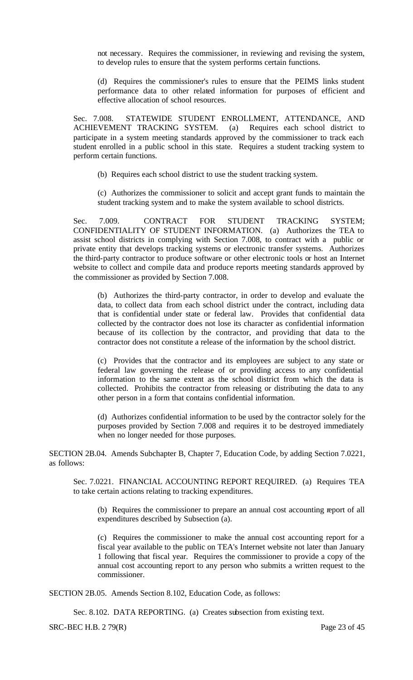not necessary. Requires the commissioner, in reviewing and revising the system, to develop rules to ensure that the system performs certain functions.

(d) Requires the commissioner's rules to ensure that the PEIMS links student performance data to other related information for purposes of efficient and effective allocation of school resources.

Sec. 7.008. STATEWIDE STUDENT ENROLLMENT, ATTENDANCE, AND ACHIEVEMENT TRACKING SYSTEM. (a) Requires each school district to participate in a system meeting standards approved by the commissioner to track each student enrolled in a public school in this state. Requires a student tracking system to perform certain functions.

(b) Requires each school district to use the student tracking system.

(c) Authorizes the commissioner to solicit and accept grant funds to maintain the student tracking system and to make the system available to school districts.

Sec. 7.009. CONTRACT FOR STUDENT TRACKING SYSTEM: CONFIDENTIALITY OF STUDENT INFORMATION. (a) Authorizes the TEA to assist school districts in complying with Section 7.008, to contract with a public or private entity that develops tracking systems or electronic transfer systems. Authorizes the third-party contractor to produce software or other electronic tools or host an Internet website to collect and compile data and produce reports meeting standards approved by the commissioner as provided by Section 7.008.

(b) Authorizes the third-party contractor, in order to develop and evaluate the data, to collect data from each school district under the contract, including data that is confidential under state or federal law. Provides that confidential data collected by the contractor does not lose its character as confidential information because of its collection by the contractor, and providing that data to the contractor does not constitute a release of the information by the school district.

(c) Provides that the contractor and its employees are subject to any state or federal law governing the release of or providing access to any confidential information to the same extent as the school district from which the data is collected. Prohibits the contractor from releasing or distributing the data to any other person in a form that contains confidential information.

(d) Authorizes confidential information to be used by the contractor solely for the purposes provided by Section 7.008 and requires it to be destroyed immediately when no longer needed for those purposes.

SECTION 2B.04. Amends Subchapter B, Chapter 7, Education Code, by adding Section 7.0221, as follows:

Sec. 7.0221. FINANCIAL ACCOUNTING REPORT REQUIRED. (a) Requires TEA to take certain actions relating to tracking expenditures.

(b) Requires the commissioner to prepare an annual cost accounting report of all expenditures described by Subsection (a).

(c) Requires the commissioner to make the annual cost accounting report for a fiscal year available to the public on TEA's Internet website not later than January 1 following that fiscal year. Requires the commissioner to provide a copy of the annual cost accounting report to any person who submits a written request to the commissioner.

SECTION 2B.05. Amends Section 8.102, Education Code, as follows:

Sec. 8.102. DATA REPORTING. (a) Creates subsection from existing text.

SRC-BEC H.B. 2 79(R) Page 23 of 45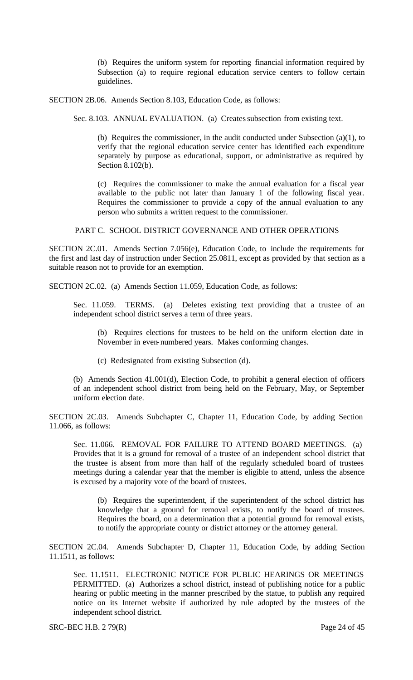(b) Requires the uniform system for reporting financial information required by Subsection (a) to require regional education service centers to follow certain guidelines.

SECTION 2B.06. Amends Section 8.103, Education Code, as follows:

Sec. 8.103. ANNUAL EVALUATION. (a) Creates subsection from existing text.

(b) Requires the commissioner, in the audit conducted under Subsection (a)(1), to verify that the regional education service center has identified each expenditure separately by purpose as educational, support, or administrative as required by Section 8.102(b).

(c) Requires the commissioner to make the annual evaluation for a fiscal year available to the public not later than January 1 of the following fiscal year. Requires the commissioner to provide a copy of the annual evaluation to any person who submits a written request to the commissioner.

PART C. SCHOOL DISTRICT GOVERNANCE AND OTHER OPERATIONS

SECTION 2C.01. Amends Section 7.056(e), Education Code, to include the requirements for the first and last day of instruction under Section 25.0811, except as provided by that section as a suitable reason not to provide for an exemption.

SECTION 2C.02. (a) Amends Section 11.059, Education Code, as follows:

Sec. 11.059. TERMS. (a) Deletes existing text providing that a trustee of an independent school district serves a term of three years.

(b) Requires elections for trustees to be held on the uniform election date in November in even-numbered years. Makes conforming changes.

(c) Redesignated from existing Subsection (d).

(b) Amends Section 41.001(d), Election Code, to prohibit a general election of officers of an independent school district from being held on the February, May, or September uniform election date.

SECTION 2C.03. Amends Subchapter C, Chapter 11, Education Code, by adding Section 11.066, as follows:

Sec. 11.066. REMOVAL FOR FAILURE TO ATTEND BOARD MEETINGS. (a) Provides that it is a ground for removal of a trustee of an independent school district that the trustee is absent from more than half of the regularly scheduled board of trustees meetings during a calendar year that the member is eligible to attend, unless the absence is excused by a majority vote of the board of trustees.

(b) Requires the superintendent, if the superintendent of the school district has knowledge that a ground for removal exists, to notify the board of trustees. Requires the board, on a determination that a potential ground for removal exists, to notify the appropriate county or district attorney or the attorney general.

SECTION 2C.04. Amends Subchapter D, Chapter 11, Education Code, by adding Section 11.1511, as follows:

Sec. 11.1511. ELECTRONIC NOTICE FOR PUBLIC HEARINGS OR MEETINGS PERMITTED. (a) Authorizes a school district, instead of publishing notice for a public hearing or public meeting in the manner prescribed by the statue, to publish any required notice on its Internet website if authorized by rule adopted by the trustees of the independent school district.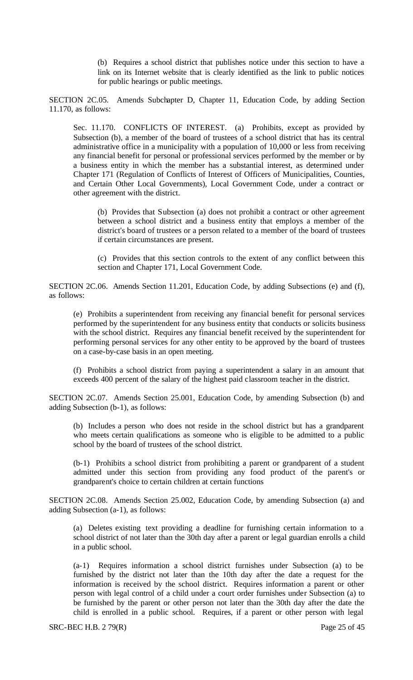(b) Requires a school district that publishes notice under this section to have a link on its Internet website that is clearly identified as the link to public notices for public hearings or public meetings.

SECTION 2C.05. Amends Subchapter D, Chapter 11, Education Code, by adding Section 11.170, as follows:

Sec. 11.170. CONFLICTS OF INTEREST. (a) Prohibits, except as provided by Subsection (b), a member of the board of trustees of a school district that has its central administrative office in a municipality with a population of 10,000 or less from receiving any financial benefit for personal or professional services performed by the member or by a business entity in which the member has a substantial interest, as determined under Chapter 171 (Regulation of Conflicts of Interest of Officers of Municipalities, Counties, and Certain Other Local Governments), Local Government Code, under a contract or other agreement with the district.

(b) Provides that Subsection (a) does not prohibit a contract or other agreement between a school district and a business entity that employs a member of the district's board of trustees or a person related to a member of the board of trustees if certain circumstances are present.

(c) Provides that this section controls to the extent of any conflict between this section and Chapter 171, Local Government Code.

SECTION 2C.06. Amends Section 11.201, Education Code, by adding Subsections (e) and (f), as follows:

(e) Prohibits a superintendent from receiving any financial benefit for personal services performed by the superintendent for any business entity that conducts or solicits business with the school district. Requires any financial benefit received by the superintendent for performing personal services for any other entity to be approved by the board of trustees on a case-by-case basis in an open meeting.

(f) Prohibits a school district from paying a superintendent a salary in an amount that exceeds 400 percent of the salary of the highest paid classroom teacher in the district.

SECTION 2C.07. Amends Section 25.001, Education Code, by amending Subsection (b) and adding Subsection (b-1), as follows:

(b) Includes a person who does not reside in the school district but has a grandparent who meets certain qualifications as someone who is eligible to be admitted to a public school by the board of trustees of the school district.

(b-1) Prohibits a school district from prohibiting a parent or grandparent of a student admitted under this section from providing any food product of the parent's or grandparent's choice to certain children at certain functions

SECTION 2C.08. Amends Section 25.002, Education Code, by amending Subsection (a) and adding Subsection (a-1), as follows:

(a) Deletes existing text providing a deadline for furnishing certain information to a school district of not later than the 30th day after a parent or legal guardian enrolls a child in a public school.

(a-1) Requires information a school district furnishes under Subsection (a) to be furnished by the district not later than the 10th day after the date a request for the information is received by the school district. Requires information a parent or other person with legal control of a child under a court order furnishes under Subsection (a) to be furnished by the parent or other person not later than the 30th day after the date the child is enrolled in a public school. Requires, if a parent or other person with legal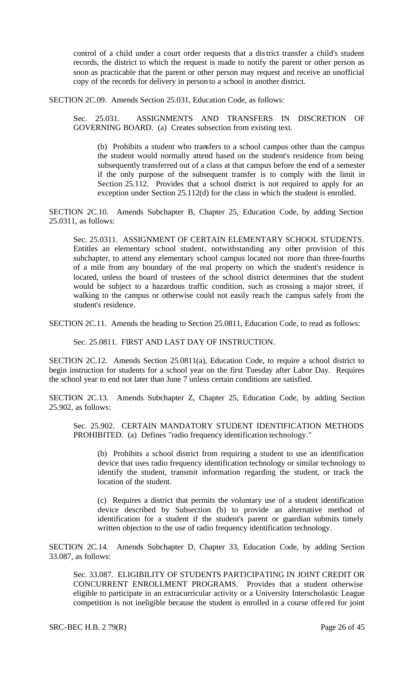control of a child under a court order requests that a district transfer a child's student records, the district to which the request is made to notify the parent or other person as soon as practicable that the parent or other person may request and receive an unofficial copy of the records for delivery in person to a school in another district.

SECTION 2C.09. Amends Section 25.031, Education Code, as follows:

Sec. 25.031. ASSIGNMENTS AND TRANSFERS IN DISCRETION OF GOVERNING BOARD. (a) Creates subsection from existing text.

(b) Prohibits a student who transfers to a school campus other than the campus the student would normally attend based on the student's residence from being subsequently transferred out of a class at that campus before the end of a semester if the only purpose of the subsequent transfer is to comply with the limit in Section 25.112. Provides that a school district is not required to apply for an exception under Section 25.112(d) for the class in which the student is enrolled.

SECTION 2C.10. Amends Subchapter B, Chapter 25, Education Code, by adding Section 25.0311, as follows:

Sec. 25.0311. ASSIGNMENT OF CERTAIN ELEMENTARY SCHOOL STUDENTS. Entitles an elementary school student, notwithstanding any other provision of this subchapter, to attend any elementary school campus located not more than three-fourths of a mile from any boundary of the real property on which the student's residence is located, unless the board of trustees of the school district determines that the student would be subject to a hazardous traffic condition, such as crossing a major street, if walking to the campus or otherwise could not easily reach the campus safely from the student's residence.

SECTION 2C.11. Amends the heading to Section 25.0811, Education Code, to read as follows:

Sec. 25.0811. FIRST AND LAST DAY OF INSTRUCTION.

SECTION 2C.12. Amends Section 25.0811(a), Education Code, to require a school district to begin instruction for students for a school year on the first Tuesday after Labor Day. Requires the school year to end not later than June 7 unless certain conditions are satisfied.

SECTION 2C.13. Amends Subchapter Z, Chapter 25, Education Code, by adding Section 25.902, as follows:

Sec. 25.902. CERTAIN MANDATORY STUDENT IDENTIFICATION METHODS PROHIBITED. (a) Defines "radio frequency identification technology."

(b) Prohibits a school district from requiring a student to use an identification device that uses radio frequency identification technology or similar technology to identify the student, transmit information regarding the student, or track the location of the student.

(c) Requires a district that permits the voluntary use of a student identification device described by Subsection (b) to provide an alternative method of identification for a student if the student's parent or guardian submits timely written objection to the use of radio frequency identification technology.

SECTION 2C.14. Amends Subchapter D, Chapter 33, Education Code, by adding Section 33.087, as follows:

Sec. 33.087. ELIGIBILITY OF STUDENTS PARTICIPATING IN JOINT CREDIT OR CONCURRENT ENROLLMENT PROGRAMS. Provides that a student otherwise eligible to participate in an extracurricular activity or a University Interscholastic League competition is not ineligible because the student is enrolled in a course offe red for joint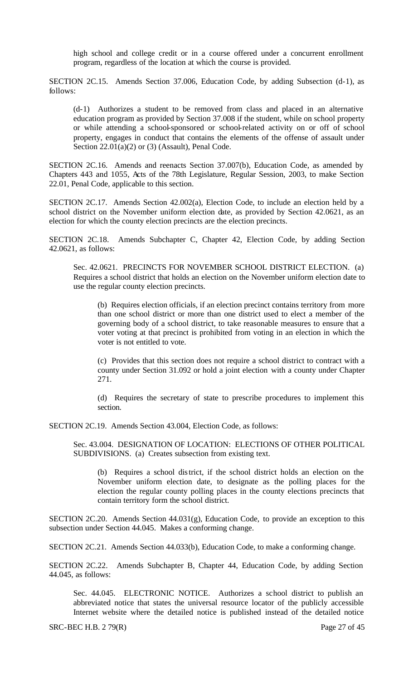high school and college credit or in a course offered under a concurrent enrollment program, regardless of the location at which the course is provided.

SECTION 2C.15. Amends Section 37.006, Education Code, by adding Subsection (d-1), as follows:

(d-1) Authorizes a student to be removed from class and placed in an alternative education program as provided by Section 37.008 if the student, while on school property or while attending a school-sponsored or school-related activity on or off of school property, engages in conduct that contains the elements of the offense of assault under Section  $22.01(a)(2)$  or  $(3)$  (Assault), Penal Code.

SECTION 2C.16. Amends and reenacts Section 37.007(b), Education Code, as amended by Chapters 443 and 1055, Acts of the 78th Legislature, Regular Session, 2003, to make Section 22.01, Penal Code, applicable to this section.

SECTION 2C.17. Amends Section 42.002(a), Election Code, to include an election held by a school district on the November uniform election date, as provided by Section 42.0621, as an election for which the county election precincts are the election precincts.

SECTION 2C.18. Amends Subchapter C, Chapter 42, Election Code, by adding Section 42.0621, as follows:

Sec. 42.0621. PRECINCTS FOR NOVEMBER SCHOOL DISTRICT ELECTION. (a) Requires a school district that holds an election on the November uniform election date to use the regular county election precincts.

(b) Requires election officials, if an election precinct contains territory from more than one school district or more than one district used to elect a member of the governing body of a school district, to take reasonable measures to ensure that a voter voting at that precinct is prohibited from voting in an election in which the voter is not entitled to vote.

(c) Provides that this section does not require a school district to contract with a county under Section 31.092 or hold a joint election with a county under Chapter 271.

(d) Requires the secretary of state to prescribe procedures to implement this section.

SECTION 2C.19. Amends Section 43.004, Election Code, as follows:

Sec. 43.004. DESIGNATION OF LOCATION: ELECTIONS OF OTHER POLITICAL SUBDIVISIONS. (a) Creates subsection from existing text.

(b) Requires a school district, if the school district holds an election on the November uniform election date, to designate as the polling places for the election the regular county polling places in the county elections precincts that contain territory form the school district.

SECTION 2C.20. Amends Section 44.031(g), Education Code, to provide an exception to this subsection under Section 44.045. Makes a conforming change.

SECTION 2C.21. Amends Section 44.033(b), Education Code, to make a conforming change.

SECTION 2C.22. Amends Subchapter B, Chapter 44, Education Code, by adding Section 44.045, as follows:

Sec. 44.045. ELECTRONIC NOTICE. Authorizes a school district to publish an abbreviated notice that states the universal resource locator of the publicly accessible Internet website where the detailed notice is published instead of the detailed notice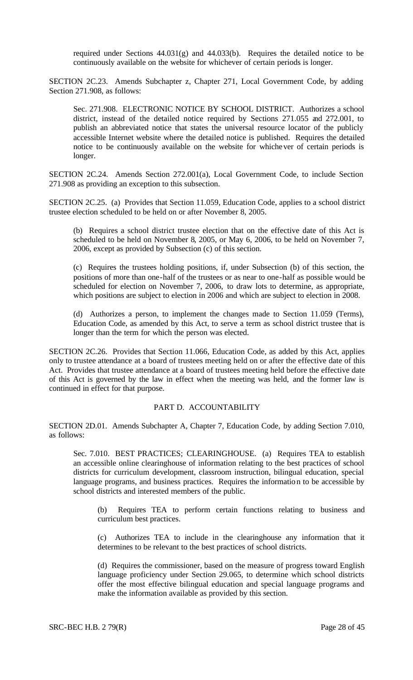required under Sections 44.031(g) and 44.033(b). Requires the detailed notice to be continuously available on the website for whichever of certain periods is longer.

SECTION 2C.23. Amends Subchapter z, Chapter 271, Local Government Code, by adding Section 271.908, as follows:

Sec. 271.908. ELECTRONIC NOTICE BY SCHOOL DISTRICT. Authorizes a school district, instead of the detailed notice required by Sections 271.055 and 272.001, to publish an abbreviated notice that states the universal resource locator of the publicly accessible Internet website where the detailed notice is published. Requires the detailed notice to be continuously available on the website for whichever of certain periods is longer.

SECTION 2C.24. Amends Section 272.001(a), Local Government Code, to include Section 271.908 as providing an exception to this subsection.

SECTION 2C.25. (a) Provides that Section 11.059, Education Code, applies to a school district trustee election scheduled to be held on or after November 8, 2005.

(b) Requires a school district trustee election that on the effective date of this Act is scheduled to be held on November 8, 2005, or May 6, 2006, to be held on November 7, 2006, except as provided by Subsection (c) of this section.

(c) Requires the trustees holding positions, if, under Subsection (b) of this section, the positions of more than one-half of the trustees or as near to one-half as possible would be scheduled for election on November 7, 2006, to draw lots to determine, as appropriate, which positions are subject to election in 2006 and which are subject to election in 2008.

(d) Authorizes a person, to implement the changes made to Section 11.059 (Terms), Education Code, as amended by this Act, to serve a term as school district trustee that is longer than the term for which the person was elected.

SECTION 2C.26. Provides that Section 11.066, Education Code, as added by this Act, applies only to trustee attendance at a board of trustees meeting held on or after the effective date of this Act. Provides that trustee attendance at a board of trustees meeting held before the effective date of this Act is governed by the law in effect when the meeting was held, and the former law is continued in effect for that purpose.

# PART D. ACCOUNTABILITY

SECTION 2D.01. Amends Subchapter A, Chapter 7, Education Code, by adding Section 7.010, as follows:

Sec. 7.010. BEST PRACTICES; CLEARINGHOUSE. (a) Requires TEA to establish an accessible online clearinghouse of information relating to the best practices of school districts for curriculum development, classroom instruction, bilingual education, special language programs, and business practices. Requires the information to be accessible by school districts and interested members of the public.

(b) Requires TEA to perform certain functions relating to business and curriculum best practices.

(c) Authorizes TEA to include in the clearinghouse any information that it determines to be relevant to the best practices of school districts.

(d) Requires the commissioner, based on the measure of progress toward English language proficiency under Section 29.065, to determine which school districts offer the most effective bilingual education and special language programs and make the information available as provided by this section.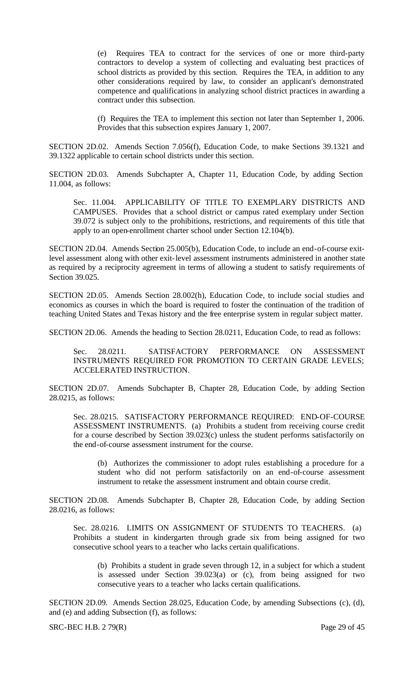(e) Requires TEA to contract for the services of one or more third-party contractors to develop a system of collecting and evaluating best practices of school districts as provided by this section. Requires the TEA, in addition to any other considerations required by law, to consider an applicant's demonstrated competence and qualifications in analyzing school district practices in awarding a contract under this subsection.

(f) Requires the TEA to implement this section not later than September 1, 2006. Provides that this subsection expires January 1, 2007.

SECTION 2D.02. Amends Section 7.056(f), Education Code, to make Sections 39.1321 and 39.1322 applicable to certain school districts under this section.

SECTION 2D.03. Amends Subchapter A, Chapter 11, Education Code, by adding Section 11.004, as follows:

Sec. 11.004. APPLICABILITY OF TITLE TO EXEMPLARY DISTRICTS AND CAMPUSES. Provides that a school district or campus rated exemplary under Section 39.072 is subject only to the prohibitions, restrictions, and requirements of this title that apply to an open-enrollment charter school under Section 12.104(b).

SECTION 2D.04. Amends Section 25.005(b), Education Code, to include an end-of-course exitlevel assessment along with other exit-level assessment instruments administered in another state as required by a reciprocity agreement in terms of allowing a student to satisfy requirements of Section 39.025.

SECTION 2D.05. Amends Section 28.002(h), Education Code, to include social studies and economics as courses in which the board is required to foster the continuation of the tradition of teaching United States and Texas history and the free enterprise system in regular subject matter.

SECTION 2D.06. Amends the heading to Section 28.0211, Education Code, to read as follows:

Sec. 28.0211. SATISFACTORY PERFORMANCE ON ASSESSMENT INSTRUMENTS REQUIRED FOR PROMOTION TO CERTAIN GRADE LEVELS; ACCELERATED INSTRUCTION.

SECTION 2D.07. Amends Subchapter B, Chapter 28, Education Code, by adding Section 28.0215, as follows:

Sec. 28.0215. SATISFACTORY PERFORMANCE REQUIRED: END-OF-COURSE ASSESSMENT INSTRUMENTS. (a) Prohibits a student from receiving course credit for a course described by Section 39.023(c) unless the student performs satisfactorily on the end-of-course assessment instrument for the course.

(b) Authorizes the commissioner to adopt rules establishing a procedure for a student who did not perform satisfactorily on an end-of-course assessment instrument to retake the assessment instrument and obtain course credit.

SECTION 2D.08. Amends Subchapter B, Chapter 28, Education Code, by adding Section 28.0216, as follows:

Sec. 28.0216. LIMITS ON ASSIGNMENT OF STUDENTS TO TEACHERS. (a) Prohibits a student in kindergarten through grade six from being assigned for two consecutive school years to a teacher who lacks certain qualifications.

(b) Prohibits a student in grade seven through 12, in a subject for which a student is assessed under Section 39.023(a) or (c), from being assigned for two consecutive years to a teacher who lacks certain qualifications.

SECTION 2D.09. Amends Section 28.025, Education Code, by amending Subsections (c), (d), and (e) and adding Subsection (f), as follows:

SRC-BEC H.B. 2 79(R) Page 29 of 45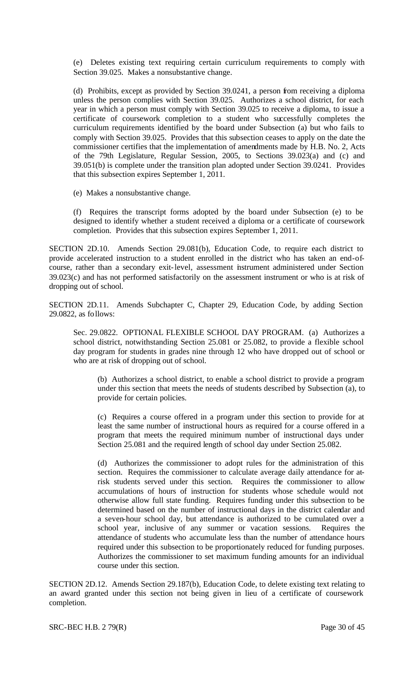(e) Deletes existing text requiring certain curriculum requirements to comply with Section 39.025. Makes a nonsubstantive change.

(d) Prohibits, except as provided by Section 39.0241, a person from receiving a diploma unless the person complies with Section 39.025. Authorizes a school district, for each year in which a person must comply with Section 39.025 to receive a diploma, to issue a certificate of coursework completion to a student who successfully completes the curriculum requirements identified by the board under Subsection (a) but who fails to comply with Section 39.025. Provides that this subsection ceases to apply on the date the commissioner certifies that the implementation of amendments made by H.B. No. 2, Acts of the 79th Legislature, Regular Session, 2005, to Sections 39.023(a) and (c) and 39.051(b) is complete under the transition plan adopted under Section 39.0241. Provides that this subsection expires September 1, 2011.

(e) Makes a nonsubstantive change.

(f) Requires the transcript forms adopted by the board under Subsection (e) to be designed to identify whether a student received a diploma or a certificate of coursework completion. Provides that this subsection expires September 1, 2011.

SECTION 2D.10. Amends Section 29.081(b), Education Code, to require each district to provide accelerated instruction to a student enrolled in the district who has taken an end-ofcourse, rather than a secondary exit-level, assessment instrument administered under Section 39.023(c) and has not performed satisfactorily on the assessment instrument or who is at risk of dropping out of school.

SECTION 2D.11. Amends Subchapter C, Chapter 29, Education Code, by adding Section 29.0822, as follows:

Sec. 29.0822. OPTIONAL FLEXIBLE SCHOOL DAY PROGRAM. (a) Authorizes a school district, notwithstanding Section 25.081 or 25.082, to provide a flexible school day program for students in grades nine through 12 who have dropped out of school or who are at risk of dropping out of school.

(b) Authorizes a school district, to enable a school district to provide a program under this section that meets the needs of students described by Subsection (a), to provide for certain policies.

(c) Requires a course offered in a program under this section to provide for at least the same number of instructional hours as required for a course offered in a program that meets the required minimum number of instructional days under Section 25.081 and the required length of school day under Section 25.082.

(d) Authorizes the commissioner to adopt rules for the administration of this section. Requires the commissioner to calculate average daily attendance for atrisk students served under this section. Requires the commissioner to allow accumulations of hours of instruction for students whose schedule would not otherwise allow full state funding. Requires funding under this subsection to be determined based on the number of instructional days in the district calendar and a seven-hour school day, but attendance is authorized to be cumulated over a school year, inclusive of any summer or vacation sessions. Requires the attendance of students who accumulate less than the number of attendance hours required under this subsection to be proportionately reduced for funding purposes. Authorizes the commissioner to set maximum funding amounts for an individual course under this section.

SECTION 2D.12. Amends Section 29.187(b), Education Code, to delete existing text relating to an award granted under this section not being given in lieu of a certificate of coursework completion.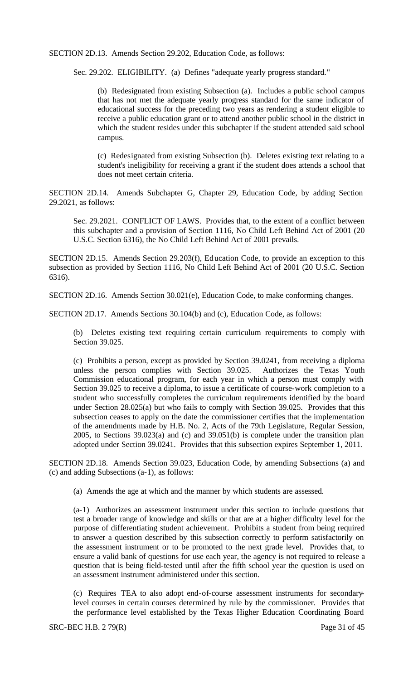SECTION 2D.13. Amends Section 29.202, Education Code, as follows:

Sec. 29.202. ELIGIBILITY. (a) Defines "adequate yearly progress standard."

(b) Redesignated from existing Subsection (a). Includes a public school campus that has not met the adequate yearly progress standard for the same indicator of educational success for the preceding two years as rendering a student eligible to receive a public education grant or to attend another public school in the district in which the student resides under this subchapter if the student attended said school campus.

(c) Redesignated from existing Subsection (b). Deletes existing text relating to a student's ineligibility for receiving a grant if the student does attends a school that does not meet certain criteria.

SECTION 2D.14. Amends Subchapter G, Chapter 29, Education Code, by adding Section 29.2021, as follows:

Sec. 29.2021. CONFLICT OF LAWS. Provides that, to the extent of a conflict between this subchapter and a provision of Section 1116, No Child Left Behind Act of 2001 (20 U.S.C. Section 6316), the No Child Left Behind Act of 2001 prevails.

SECTION 2D.15. Amends Section 29.203(f), Education Code, to provide an exception to this subsection as provided by Section 1116, No Child Left Behind Act of 2001 (20 U.S.C. Section 6316).

SECTION 2D.16. Amends Section 30.021(e), Education Code, to make conforming changes.

SECTION 2D.17. Amends Sections 30.104(b) and (c), Education Code, as follows:

(b) Deletes existing text requiring certain curriculum requirements to comply with Section 39.025.

(c) Prohibits a person, except as provided by Section 39.0241, from receiving a diploma unless the person complies with Section 39.025. Authorizes the Texas Youth Commission educational program, for each year in which a person must comply with Section 39.025 to receive a diploma, to issue a certificate of course-work completion to a student who successfully completes the curriculum requirements identified by the board under Section 28.025(a) but who fails to comply with Section 39.025. Provides that this subsection ceases to apply on the date the commissioner certifies that the implementation of the amendments made by H.B. No. 2, Acts of the 79th Legislature, Regular Session, 2005, to Sections 39.023(a) and (c) and 39.051(b) is complete under the transition plan adopted under Section 39.0241. Provides that this subsection expires September 1, 2011.

SECTION 2D.18. Amends Section 39.023, Education Code, by amending Subsections (a) and (c) and adding Subsections (a-1), as follows:

(a) Amends the age at which and the manner by which students are assessed.

(a-1) Authorizes an assessment instrument under this section to include questions that test a broader range of knowledge and skills or that are at a higher difficulty level for the purpose of differentiating student achievement. Prohibits a student from being required to answer a question described by this subsection correctly to perform satisfactorily on the assessment instrument or to be promoted to the next grade level. Provides that, to ensure a valid bank of questions for use each year, the agency is not required to release a question that is being field-tested until after the fifth school year the question is used on an assessment instrument administered under this section.

(c) Requires TEA to also adopt end-of-course assessment instruments for secondarylevel courses in certain courses determined by rule by the commissioner. Provides that the performance level established by the Texas Higher Education Coordinating Board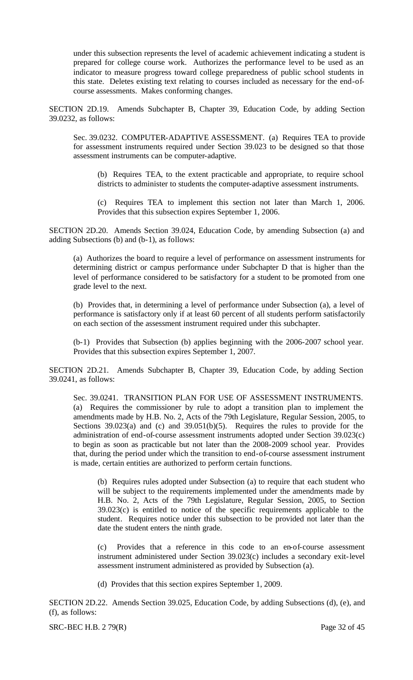under this subsection represents the level of academic achievement indicating a student is prepared for college course work. Authorizes the performance level to be used as an indicator to measure progress toward college preparedness of public school students in this state. Deletes existing text relating to courses included as necessary for the end-ofcourse assessments. Makes conforming changes.

SECTION 2D.19. Amends Subchapter B, Chapter 39, Education Code, by adding Section 39.0232, as follows:

Sec. 39.0232. COMPUTER-ADAPTIVE ASSESSMENT. (a) Requires TEA to provide for assessment instruments required under Section 39.023 to be designed so that those assessment instruments can be computer-adaptive.

(b) Requires TEA, to the extent practicable and appropriate, to require school districts to administer to students the computer-adaptive assessment instruments.

(c) Requires TEA to implement this section not later than March 1, 2006. Provides that this subsection expires September 1, 2006.

SECTION 2D.20. Amends Section 39.024, Education Code, by amending Subsection (a) and adding Subsections (b) and (b-1), as follows:

(a) Authorizes the board to require a level of performance on assessment instruments for determining district or campus performance under Subchapter D that is higher than the level of performance considered to be satisfactory for a student to be promoted from one grade level to the next.

(b) Provides that, in determining a level of performance under Subsection (a), a level of performance is satisfactory only if at least 60 percent of all students perform satisfactorily on each section of the assessment instrument required under this subchapter.

(b-1) Provides that Subsection (b) applies beginning with the 2006-2007 school year. Provides that this subsection expires September 1, 2007.

SECTION 2D.21. Amends Subchapter B, Chapter 39, Education Code, by adding Section 39.0241, as follows:

Sec. 39.0241. TRANSITION PLAN FOR USE OF ASSESSMENT INSTRUMENTS. (a) Requires the commissioner by rule to adopt a transition plan to implement the amendments made by H.B. No. 2, Acts of the 79th Legislature, Regular Session, 2005, to Sections 39.023(a) and (c) and 39.051(b)(5). Requires the rules to provide for the administration of end-of-course assessment instruments adopted under Section 39.023(c) to begin as soon as practicable but not later than the 2008-2009 school year. Provides that, during the period under which the transition to end-of-course assessment instrument is made, certain entities are authorized to perform certain functions.

(b) Requires rules adopted under Subsection (a) to require that each student who will be subject to the requirements implemented under the amendments made by H.B. No. 2, Acts of the 79th Legislature, Regular Session, 2005, to Section 39.023(c) is entitled to notice of the specific requirements applicable to the student. Requires notice under this subsection to be provided not later than the date the student enters the ninth grade.

(c) Provides that a reference in this code to an en-of-course assessment instrument administered under Section 39.023(c) includes a secondary exit-level assessment instrument administered as provided by Subsection (a).

(d) Provides that this section expires September 1, 2009.

SECTION 2D.22. Amends Section 39.025, Education Code, by adding Subsections (d), (e), and (f), as follows:

SRC-BEC H.B. 2 79(R) Page 32 of 45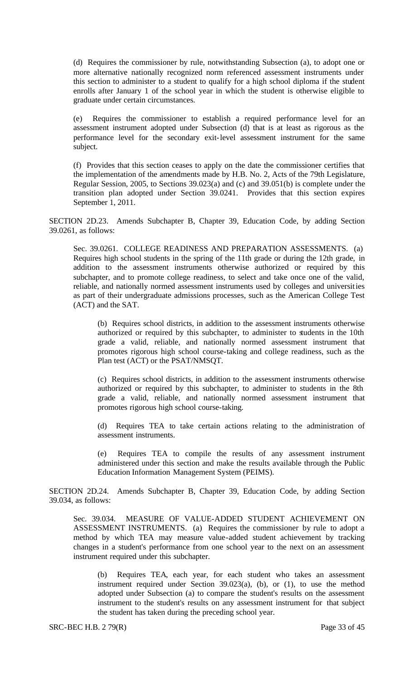(d) Requires the commissioner by rule, notwithstanding Subsection (a), to adopt one or more alternative nationally recognized norm referenced assessment instruments under this section to administer to a student to qualify for a high school diploma if the student enrolls after January 1 of the school year in which the student is otherwise eligible to graduate under certain circumstances.

(e) Requires the commissioner to establish a required performance level for an assessment instrument adopted under Subsection (d) that is at least as rigorous as the performance level for the secondary exit-level assessment instrument for the same subject.

(f) Provides that this section ceases to apply on the date the commissioner certifies that the implementation of the amendments made by H.B. No. 2, Acts of the 79th Legislature, Regular Session, 2005, to Sections 39.023(a) and (c) and 39.051(b) is complete under the transition plan adopted under Section 39.0241. Provides that this section expires September 1, 2011.

SECTION 2D.23. Amends Subchapter B, Chapter 39, Education Code, by adding Section 39.0261, as follows:

Sec. 39.0261. COLLEGE READINESS AND PREPARATION ASSESSMENTS. (a) Requires high school students in the spring of the 11th grade or during the 12th grade, in addition to the assessment instruments otherwise authorized or required by this subchapter, and to promote college readiness, to select and take once one of the valid, reliable, and nationally normed assessment instruments used by colleges and universities as part of their undergraduate admissions processes, such as the American College Test (ACT) and the SAT.

(b) Requires school districts, in addition to the assessment instruments otherwise authorized or required by this subchapter, to administer to students in the 10th grade a valid, reliable, and nationally normed assessment instrument that promotes rigorous high school course-taking and college readiness, such as the Plan test (ACT) or the PSAT/NMSQT.

(c) Requires school districts, in addition to the assessment instruments otherwise authorized or required by this subchapter, to administer to students in the 8th grade a valid, reliable, and nationally normed assessment instrument that promotes rigorous high school course-taking.

(d) Requires TEA to take certain actions relating to the administration of assessment instruments.

(e) Requires TEA to compile the results of any assessment instrument administered under this section and make the results available through the Public Education Information Management System (PEIMS).

SECTION 2D.24. Amends Subchapter B, Chapter 39, Education Code, by adding Section 39.034, as follows:

Sec. 39.034. MEASURE OF VALUE-ADDED STUDENT ACHIEVEMENT ON ASSESSMENT INSTRUMENTS. (a) Requires the commissioner by rule to adopt a method by which TEA may measure value-added student achievement by tracking changes in a student's performance from one school year to the next on an assessment instrument required under this subchapter.

(b) Requires TEA, each year, for each student who takes an assessment instrument required under Section 39.023(a), (b), or (1), to use the method adopted under Subsection (a) to compare the student's results on the assessment instrument to the student's results on any assessment instrument for that subject the student has taken during the preceding school year.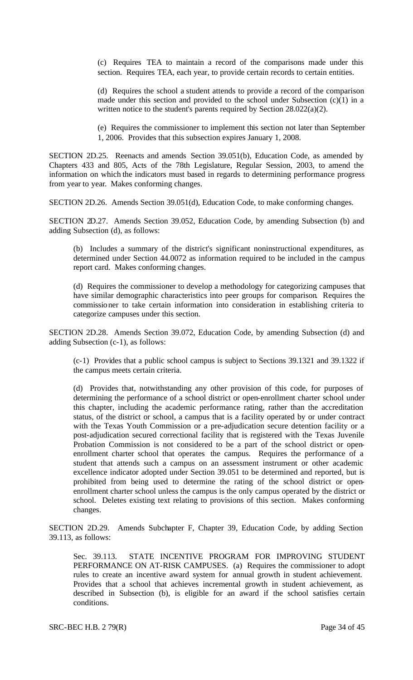(c) Requires TEA to maintain a record of the comparisons made under this section. Requires TEA, each year, to provide certain records to certain entities.

(d) Requires the school a student attends to provide a record of the comparison made under this section and provided to the school under Subsection  $(c)(1)$  in a written notice to the student's parents required by Section 28.022(a)(2).

(e) Requires the commissioner to implement this section not later than September 1, 2006. Provides that this subsection expires January 1, 2008.

SECTION 2D.25. Reenacts and amends Section 39.051(b), Education Code, as amended by Chapters 433 and 805, Acts of the 78th Legislature, Regular Session, 2003, to amend the information on which the indicators must based in regards to determining performance progress from year to year. Makes conforming changes.

SECTION 2D.26. Amends Section 39.051(d), Education Code, to make conforming changes.

SECTION 2D.27. Amends Section 39.052, Education Code, by amending Subsection (b) and adding Subsection (d), as follows:

(b) Includes a summary of the district's significant noninstructional expenditures, as determined under Section 44.0072 as information required to be included in the campus report card. Makes conforming changes.

(d) Requires the commissioner to develop a methodology for categorizing campuses that have similar demographic characteristics into peer groups for comparison. Requires the commissioner to take certain information into consideration in establishing criteria to categorize campuses under this section.

SECTION 2D.28. Amends Section 39.072, Education Code, by amending Subsection (d) and adding Subsection (c-1), as follows:

(c-1) Provides that a public school campus is subject to Sections 39.1321 and 39.1322 if the campus meets certain criteria.

(d) Provides that, notwithstanding any other provision of this code, for purposes of determining the performance of a school district or open-enrollment charter school under this chapter, including the academic performance rating, rather than the accreditation status, of the district or school, a campus that is a facility operated by or under contract with the Texas Youth Commission or a pre-adjudication secure detention facility or a post-adjudication secured correctional facility that is registered with the Texas Juvenile Probation Commission is not considered to be a part of the school district or openenrollment charter school that operates the campus. Requires the performance of a student that attends such a campus on an assessment instrument or other academic excellence indicator adopted under Section 39.051 to be determined and reported, but is prohibited from being used to determine the rating of the school district or openenrollment charter school unless the campus is the only campus operated by the district or school. Deletes existing text relating to provisions of this section. Makes conforming changes.

SECTION 2D.29. Amends Subchapter F, Chapter 39, Education Code, by adding Section 39.113, as follows:

Sec. 39.113. STATE INCENTIVE PROGRAM FOR IMPROVING STUDENT PERFORMANCE ON AT-RISK CAMPUSES. (a) Requires the commissioner to adopt rules to create an incentive award system for annual growth in student achievement. Provides that a school that achieves incremental growth in student achievement, as described in Subsection (b), is eligible for an award if the school satisfies certain conditions.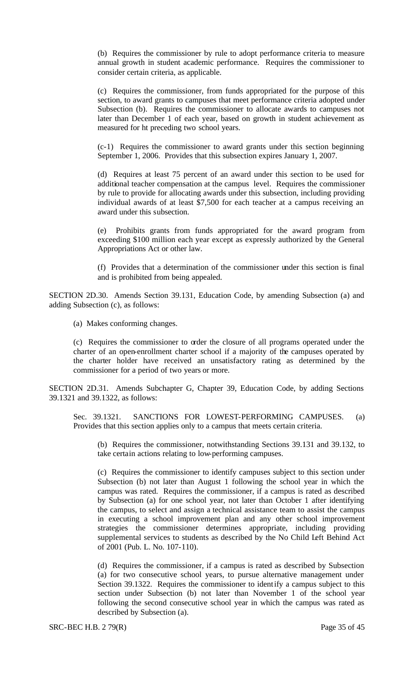(b) Requires the commissioner by rule to adopt performance criteria to measure annual growth in student academic performance. Requires the commissioner to consider certain criteria, as applicable.

(c) Requires the commissioner, from funds appropriated for the purpose of this section, to award grants to campuses that meet performance criteria adopted under Subsection (b). Requires the commissioner to allocate awards to campuses not later than December 1 of each year, based on growth in student achievement as measured for ht preceding two school years.

(c-1) Requires the commissioner to award grants under this section beginning September 1, 2006. Provides that this subsection expires January 1, 2007.

(d) Requires at least 75 percent of an award under this section to be used for additional teacher compensation at the campus level. Requires the commissioner by rule to provide for allocating awards under this subsection, including providing individual awards of at least \$7,500 for each teacher at a campus receiving an award under this subsection.

(e) Prohibits grants from funds appropriated for the award program from exceeding \$100 million each year except as expressly authorized by the General Appropriations Act or other law.

(f) Provides that a determination of the commissioner under this section is final and is prohibited from being appealed.

SECTION 2D.30. Amends Section 39.131, Education Code, by amending Subsection (a) and adding Subsection (c), as follows:

(a) Makes conforming changes.

(c) Requires the commissioner to order the closure of all programs operated under the charter of an open-enrollment charter school if a majority of the campuses operated by the charter holder have received an unsatisfactory rating as determined by the commissioner for a period of two years or more.

SECTION 2D.31. Amends Subchapter G, Chapter 39, Education Code, by adding Sections 39.1321 and 39.1322, as follows:

Sec. 39.1321. SANCTIONS FOR LOWEST-PERFORMING CAMPUSES. (a) Provides that this section applies only to a campus that meets certain criteria.

(b) Requires the commissioner, notwithstanding Sections 39.131 and 39.132, to take certain actions relating to low-performing campuses.

(c) Requires the commissioner to identify campuses subject to this section under Subsection (b) not later than August 1 following the school year in which the campus was rated. Requires the commissioner, if a campus is rated as described by Subsection (a) for one school year, not later than October 1 after identifying the campus, to select and assign a technical assistance team to assist the campus in executing a school improvement plan and any other school improvement strategies the commissioner determines appropriate, including providing supplemental services to students as described by the No Child Left Behind Act of 2001 (Pub. L. No. 107-110).

(d) Requires the commissioner, if a campus is rated as described by Subsection (a) for two consecutive school years, to pursue alternative management under Section 39.1322. Requires the commissioner to identify a campus subject to this section under Subsection (b) not later than November 1 of the school year following the second consecutive school year in which the campus was rated as described by Subsection (a).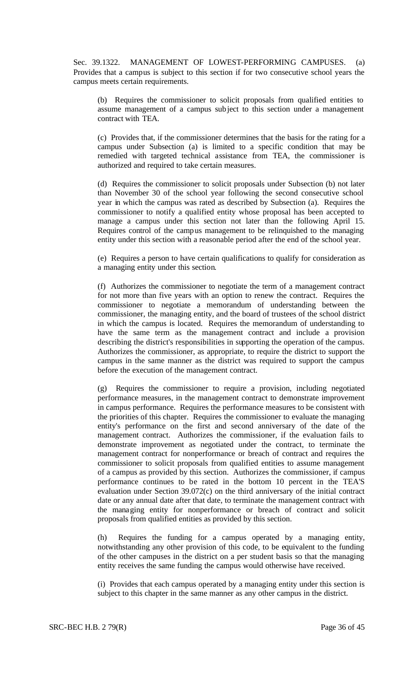Sec. 39.1322. MANAGEMENT OF LOWEST-PERFORMING CAMPUSES. (a) Provides that a campus is subject to this section if for two consecutive school years the campus meets certain requirements.

(b) Requires the commissioner to solicit proposals from qualified entities to assume management of a campus subject to this section under a management contract with TEA.

(c) Provides that, if the commissioner determines that the basis for the rating for a campus under Subsection (a) is limited to a specific condition that may be remedied with targeted technical assistance from TEA, the commissioner is authorized and required to take certain measures.

(d) Requires the commissioner to solicit proposals under Subsection (b) not later than November 30 of the school year following the second consecutive school year in which the campus was rated as described by Subsection (a). Requires the commissioner to notify a qualified entity whose proposal has been accepted to manage a campus under this section not later than the following April 15. Requires control of the campus management to be relinquished to the managing entity under this section with a reasonable period after the end of the school year.

(e) Requires a person to have certain qualifications to qualify for consideration as a managing entity under this section.

(f) Authorizes the commissioner to negotiate the term of a management contract for not more than five years with an option to renew the contract. Requires the commissioner to negotiate a memorandum of understanding between the commissioner, the managing entity, and the board of trustees of the school district in which the campus is located. Requires the memorandum of understanding to have the same term as the management contract and include a provision describing the district's responsibilities in supporting the operation of the campus. Authorizes the commissioner, as appropriate, to require the district to support the campus in the same manner as the district was required to support the campus before the execution of the management contract.

(g) Requires the commissioner to require a provision, including negotiated performance measures, in the management contract to demonstrate improvement in campus performance. Requires the performance measures to be consistent with the priorities of this chapter. Requires the commissioner to evaluate the managing entity's performance on the first and second anniversary of the date of the management contract. Authorizes the commissioner, if the evaluation fails to demonstrate improvement as negotiated under the contract, to terminate the management contract for nonperformance or breach of contract and requires the commissioner to solicit proposals from qualified entities to assume management of a campus as provided by this section. Authorizes the commissioner, if campus performance continues to be rated in the bottom 10 percent in the TEA'S evaluation under Section 39.072(c) on the third anniversary of the initial contract date or any annual date after that date, to terminate the management contract with the managing entity for nonperformance or breach of contract and solicit proposals from qualified entities as provided by this section.

(h) Requires the funding for a campus operated by a managing entity, notwithstanding any other provision of this code, to be equivalent to the funding of the other campuses in the district on a per student basis so that the managing entity receives the same funding the campus would otherwise have received.

(i) Provides that each campus operated by a managing entity under this section is subject to this chapter in the same manner as any other campus in the district.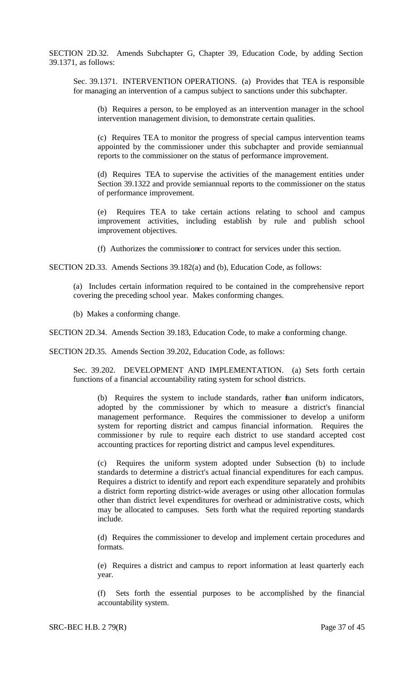SECTION 2D.32. Amends Subchapter G, Chapter 39, Education Code, by adding Section 39.1371, as follows:

Sec. 39.1371. INTERVENTION OPERATIONS. (a) Provides that TEA is responsible for managing an intervention of a campus subject to sanctions under this subchapter.

(b) Requires a person, to be employed as an intervention manager in the school intervention management division, to demonstrate certain qualities.

(c) Requires TEA to monitor the progress of special campus intervention teams appointed by the commissioner under this subchapter and provide semiannual reports to the commissioner on the status of performance improvement.

(d) Requires TEA to supervise the activities of the management entities under Section 39.1322 and provide semiannual reports to the commissioner on the status of performance improvement.

(e) Requires TEA to take certain actions relating to school and campus improvement activities, including establish by rule and publish school improvement objectives.

(f) Authorizes the commissioner to contract for services under this section.

SECTION 2D.33. Amends Sections 39.182(a) and (b), Education Code, as follows:

(a) Includes certain information required to be contained in the comprehensive report covering the preceding school year. Makes conforming changes.

(b) Makes a conforming change.

SECTION 2D.34. Amends Section 39.183, Education Code, to make a conforming change.

SECTION 2D.35. Amends Section 39.202, Education Code, as follows:

Sec. 39.202. DEVELOPMENT AND IMPLEMENTATION. (a) Sets forth certain functions of a financial accountability rating system for school districts.

(b) Requires the system to include standards, rather than uniform indicators, adopted by the commissioner by which to measure a district's financial management performance. Requires the commissioner to develop a uniform system for reporting district and campus financial information. Requires the commissioner by rule to require each district to use standard accepted cost accounting practices for reporting district and campus level expenditures.

(c) Requires the uniform system adopted under Subsection (b) to include standards to determine a district's actual financial expenditures for each campus. Requires a district to identify and report each expenditure separately and prohibits a district form reporting district-wide averages or using other allocation formulas other than district level expenditures for overhead or administrative costs, which may be allocated to campuses. Sets forth what the required reporting standards include.

(d) Requires the commissioner to develop and implement certain procedures and formats.

(e) Requires a district and campus to report information at least quarterly each year.

(f) Sets forth the essential purposes to be accomplished by the financial accountability system.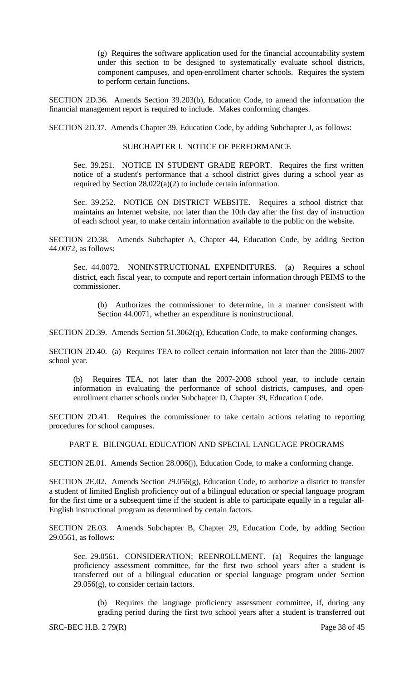(g) Requires the software application used for the financial accountability system under this section to be designed to systematically evaluate school districts, component campuses, and open-enrollment charter schools. Requires the system to perform certain functions.

SECTION 2D.36. Amends Section 39.203(b), Education Code, to amend the information the financial management report is required to include. Makes conforming changes.

SECTION 2D.37. Amends Chapter 39, Education Code, by adding Subchapter J, as follows:

### SUBCHAPTER J. NOTICE OF PERFORMANCE

Sec. 39.251. NOTICE IN STUDENT GRADE REPORT. Requires the first written notice of a student's performance that a school district gives during a school year as required by Section 28.022(a)(2) to include certain information.

Sec. 39.252. NOTICE ON DISTRICT WEBSITE. Requires a school district that maintains an Internet website, not later than the 10th day after the first day of instruction of each school year, to make certain information available to the public on the website.

SECTION 2D.38. Amends Subchapter A, Chapter 44, Education Code, by adding Section 44.0072, as follows:

Sec. 44.0072. NONINSTRUCTIONAL EXPENDITURES. (a) Requires a school district, each fiscal year, to compute and report certain information through PEIMS to the commissioner.

(b) Authorizes the commissioner to determine, in a manner consistent with Section 44.0071, whether an expenditure is noninstructional.

SECTION 2D.39. Amends Section 51.3062(q), Education Code, to make conforming changes.

SECTION 2D.40. (a) Requires TEA to collect certain information not later than the 2006-2007 school year.

(b) Requires TEA, not later than the 2007-2008 school year, to include certain information in evaluating the performance of school districts, campuses, and openenrollment charter schools under Subchapter D, Chapter 39, Education Code.

SECTION 2D.41. Requires the commissioner to take certain actions relating to reporting procedures for school campuses.

PART E. BILINGUAL EDUCATION AND SPECIAL LANGUAGE PROGRAMS

SECTION 2E.01. Amends Section 28.006(j), Education Code, to make a conforming change.

SECTION 2E.02. Amends Section 29.056(g), Education Code, to authorize a district to transfer a student of limited English proficiency out of a bilingual education or special language program for the first time or a subsequent time if the student is able to participate equally in a regular all-English instructional program as determined by certain factors.

SECTION 2E.03. Amends Subchapter B, Chapter 29, Education Code, by adding Section 29.0561, as follows:

Sec. 29.0561. CONSIDERATION; REENROLLMENT. (a) Requires the language proficiency assessment committee, for the first two school years after a student is transferred out of a bilingual education or special language program under Section  $29.056(g)$ , to consider certain factors.

(b) Requires the language proficiency assessment committee, if, during any grading period during the first two school years after a student is transferred out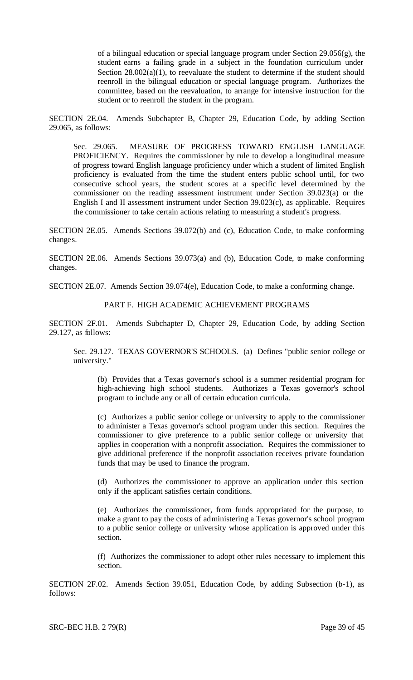of a bilingual education or special language program under Section 29.056(g), the student earns a failing grade in a subject in the foundation curriculum under Section  $28.002(a)(1)$ , to reevaluate the student to determine if the student should reenroll in the bilingual education or special language program. Authorizes the committee, based on the reevaluation, to arrange for intensive instruction for the student or to reenroll the student in the program.

SECTION 2E.04. Amends Subchapter B, Chapter 29, Education Code, by adding Section 29.065, as follows:

Sec. 29.065. MEASURE OF PROGRESS TOWARD ENGLISH LANGUAGE PROFICIENCY. Requires the commissioner by rule to develop a longitudinal measure of progress toward English language proficiency under which a student of limited English proficiency is evaluated from the time the student enters public school until, for two consecutive school years, the student scores at a specific level determined by the commissioner on the reading assessment instrument under Section 39.023(a) or the English I and II assessment instrument under Section 39.023(c), as applicable. Requires the commissioner to take certain actions relating to measuring a student's progress.

SECTION 2E.05. Amends Sections 39.072(b) and (c), Education Code, to make conforming changes.

SECTION 2E.06. Amends Sections 39.073(a) and (b), Education Code, to make conforming changes.

SECTION 2E.07. Amends Section 39.074(e), Education Code, to make a conforming change.

## PART F. HIGH ACADEMIC ACHIEVEMENT PROGRAMS

SECTION 2F.01. Amends Subchapter D, Chapter 29, Education Code, by adding Section 29.127, as follows:

Sec. 29.127. TEXAS GOVERNOR'S SCHOOLS. (a) Defines "public senior college or university."

(b) Provides that a Texas governor's school is a summer residential program for high-achieving high school students. Authorizes a Texas governor's school program to include any or all of certain education curricula.

(c) Authorizes a public senior college or university to apply to the commissioner to administer a Texas governor's school program under this section. Requires the commissioner to give preference to a public senior college or university that applies in cooperation with a nonprofit association. Requires the commissioner to give additional preference if the nonprofit association receives private foundation funds that may be used to finance the program.

(d) Authorizes the commissioner to approve an application under this section only if the applicant satisfies certain conditions.

(e) Authorizes the commissioner, from funds appropriated for the purpose, to make a grant to pay the costs of administering a Texas governor's school program to a public senior college or university whose application is approved under this section.

(f) Authorizes the commissioner to adopt other rules necessary to implement this section.

SECTION 2F.02. Amends Section 39.051, Education Code, by adding Subsection (b-1), as follows:

SRC-BEC H.B. 2 79(R) Page 39 of 45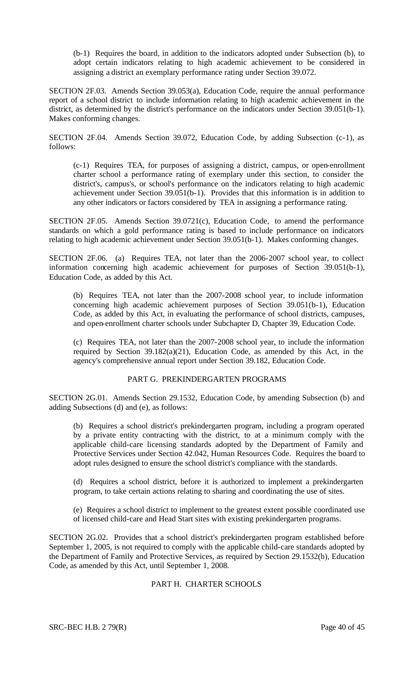(b-1) Requires the board, in addition to the indicators adopted under Subsection (b), to adopt certain indicators relating to high academic achievement to be considered in assigning a district an exemplary performance rating under Section 39.072.

SECTION 2F.03. Amends Section 39.053(a), Education Code, require the annual performance report of a school district to include information relating to high academic achievement in the district, as determined by the district's performance on the indicators under Section 39.051(b-1). Makes conforming changes.

SECTION 2F.04. Amends Section 39.072, Education Code, by adding Subsection (c-1), as follows:

(c-1) Requires TEA, for purposes of assigning a district, campus, or open-enrollment charter school a performance rating of exemplary under this section, to consider the district's, campus's, or school's performance on the indicators relating to high academic achievement under Section 39.051(b-1). Provides that this information is in addition to any other indicators or factors considered by TEA in assigning a performance rating.

SECTION 2F.05. Amends Section 39.0721(c), Education Code, to amend the performance standards on which a gold performance rating is based to include performance on indicators relating to high academic achievement under Section 39.051(b-1). Makes conforming changes.

SECTION 2F.06. (a) Requires TEA, not later than the 2006-2007 school year, to collect information concerning high academic achievement for purposes of Section 39.051(b-1), Education Code, as added by this Act.

(b) Requires TEA, not later than the 2007-2008 school year, to include information concerning high academic achievement purposes of Section 39.051(b-1), Education Code, as added by this Act, in evaluating the performance of school districts, campuses, and open-enrollment charter schools under Subchapter D, Chapter 39, Education Code.

(c) Requires TEA, not later than the 2007-2008 school year, to include the information required by Section 39.182(a)(21), Education Code, as amended by this Act, in the agency's comprehensive annual report under Section 39.182, Education Code.

# PART G. PREKINDERGARTEN PROGRAMS

SECTION 2G.01. Amends Section 29.1532, Education Code, by amending Subsection (b) and adding Subsections (d) and (e), as follows:

(b) Requires a school district's prekindergarten program, including a program operated by a private entity contracting with the district, to at a minimum comply with the applicable child-care licensing standards adopted by the Department of Family and Protective Services under Section 42.042, Human Resources Code. Requires the board to adopt rules designed to ensure the school district's compliance with the standards.

(d) Requires a school district, before it is authorized to implement a prekindergarten program, to take certain actions relating to sharing and coordinating the use of sites.

(e) Requires a school district to implement to the greatest extent possible coordinated use of licensed child-care and Head Start sites with existing prekindergarten programs.

SECTION 2G.02. Provides that a school district's prekindergarten program established before September 1, 2005, is not required to comply with the applicable child-care standards adopted by the Department of Family and Protective Services, as required by Section 29.1532(b), Education Code, as amended by this Act, until September 1, 2008.

## PART H. CHARTER SCHOOLS

SRC-BEC H.B. 2 79(R) Page 40 of 45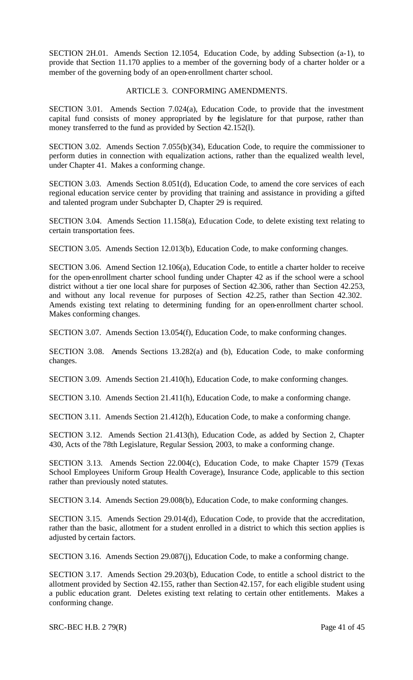SECTION 2H.01. Amends Section 12.1054, Education Code, by adding Subsection (a-1), to provide that Section 11.170 applies to a member of the governing body of a charter holder or a member of the governing body of an open-enrollment charter school.

## ARTICLE 3. CONFORMING AMENDMENTS.

SECTION 3.01. Amends Section 7.024(a), Education Code, to provide that the investment capital fund consists of money appropriated by the legislature for that purpose, rather than money transferred to the fund as provided by Section 42.152(l).

SECTION 3.02. Amends Section 7.055(b)(34), Education Code, to require the commissioner to perform duties in connection with equalization actions, rather than the equalized wealth level, under Chapter 41. Makes a conforming change.

SECTION 3.03. Amends Section 8.051(d), Education Code, to amend the core services of each regional education service center by providing that training and assistance in providing a gifted and talented program under Subchapter D, Chapter 29 is required.

SECTION 3.04. Amends Section 11.158(a), Education Code, to delete existing text relating to certain transportation fees.

SECTION 3.05. Amends Section 12.013(b), Education Code, to make conforming changes.

SECTION 3.06. Amend Section 12.106(a), Education Code, to entitle a charter holder to receive for the open-enrollment charter school funding under Chapter 42 as if the school were a school district without a tier one local share for purposes of Section 42.306, rather than Section 42.253, and without any local revenue for purposes of Section 42.25, rather than Section 42.302. Amends existing text relating to determining funding for an open-enrollment charter school. Makes conforming changes.

SECTION 3.07. Amends Section 13.054(f), Education Code, to make conforming changes.

SECTION 3.08. Amends Sections 13.282(a) and (b), Education Code, to make conforming changes.

SECTION 3.09. Amends Section 21.410(h), Education Code, to make conforming changes.

SECTION 3.10. Amends Section 21.411(h), Education Code, to make a conforming change.

SECTION 3.11. Amends Section 21.412(h), Education Code, to make a conforming change.

SECTION 3.12. Amends Section 21.413(h), Education Code, as added by Section 2, Chapter 430, Acts of the 78th Legislature, Regular Session, 2003, to make a conforming change.

SECTION 3.13. Amends Section 22.004(c), Education Code, to make Chapter 1579 (Texas School Employees Uniform Group Health Coverage), Insurance Code, applicable to this section rather than previously noted statutes.

SECTION 3.14. Amends Section 29.008(b), Education Code, to make conforming changes.

SECTION 3.15. Amends Section 29.014(d), Education Code, to provide that the accreditation, rather than the basic, allotment for a student enrolled in a district to which this section applies is adjusted by certain factors.

SECTION 3.16. Amends Section 29.087(j), Education Code, to make a conforming change.

SECTION 3.17. Amends Section 29.203(b), Education Code, to entitle a school district to the allotment provided by Section 42.155, rather than Section 42.157, for each eligible student using a public education grant. Deletes existing text relating to certain other entitlements. Makes a conforming change.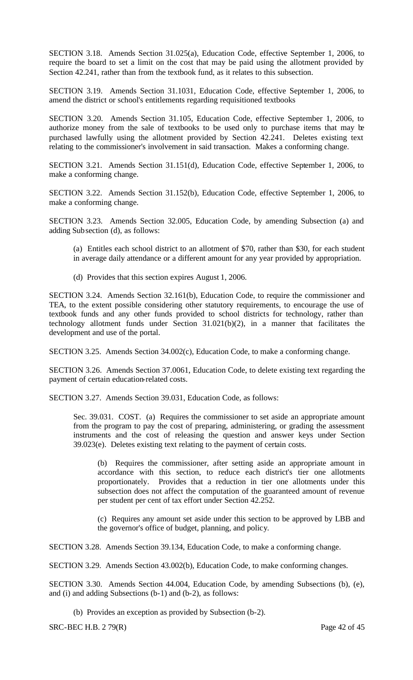SECTION 3.18. Amends Section 31.025(a), Education Code, effective September 1, 2006, to require the board to set a limit on the cost that may be paid using the allotment provided by Section 42.241, rather than from the textbook fund, as it relates to this subsection.

SECTION 3.19. Amends Section 31.1031, Education Code, effective September 1, 2006, to amend the district or school's entitlements regarding requisitioned textbooks

SECTION 3.20. Amends Section 31.105, Education Code, effective September 1, 2006, to authorize money from the sale of textbooks to be used only to purchase items that may be purchased lawfully using the allotment provided by Section 42.241. Deletes existing text relating to the commissioner's involvement in said transaction. Makes a conforming change.

SECTION 3.21. Amends Section 31.151(d), Education Code, effective September 1, 2006, to make a conforming change.

SECTION 3.22. Amends Section 31.152(b), Education Code, effective September 1, 2006, to make a conforming change.

SECTION 3.23. Amends Section 32.005, Education Code, by amending Subsection (a) and adding Subsection (d), as follows:

- (a) Entitles each school district to an allotment of \$70, rather than \$30, for each student in average daily attendance or a different amount for any year provided by appropriation.
- (d) Provides that this section expires August 1, 2006.

SECTION 3.24. Amends Section 32.161(b), Education Code, to require the commissioner and TEA, to the extent possible considering other statutory requirements, to encourage the use of textbook funds and any other funds provided to school districts for technology, rather than technology allotment funds under Section 31.021(b)(2), in a manner that facilitates the development and use of the portal.

SECTION 3.25. Amends Section 34.002(c), Education Code, to make a conforming change.

SECTION 3.26. Amends Section 37.0061, Education Code, to delete existing text regarding the payment of certain education-related costs.

SECTION 3.27. Amends Section 39.031, Education Code, as follows:

Sec. 39.031. COST. (a) Requires the commissioner to set aside an appropriate amount from the program to pay the cost of preparing, administering, or grading the assessment instruments and the cost of releasing the question and answer keys under Section 39.023(e). Deletes existing text relating to the payment of certain costs.

(b) Requires the commissioner, after setting aside an appropriate amount in accordance with this section, to reduce each district's tier one allotments proportionately. Provides that a reduction in tier one allotments under this subsection does not affect the computation of the guaranteed amount of revenue per student per cent of tax effort under Section 42.252.

(c) Requires any amount set aside under this section to be approved by LBB and the governor's office of budget, planning, and policy.

SECTION 3.28. Amends Section 39.134, Education Code, to make a conforming change.

SECTION 3.29. Amends Section 43.002(b), Education Code, to make conforming changes.

SECTION 3.30. Amends Section 44.004, Education Code, by amending Subsections (b), (e), and (i) and adding Subsections (b-1) and (b-2), as follows:

(b) Provides an exception as provided by Subsection (b-2).

SRC-BEC H.B. 2 79(R) Page 42 of 45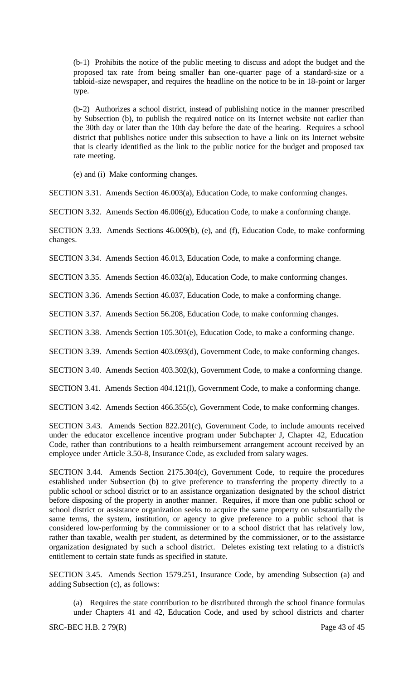(b-1) Prohibits the notice of the public meeting to discuss and adopt the budget and the proposed tax rate from being smaller than one-quarter page of a standard-size or a tabloid-size newspaper, and requires the headline on the notice to be in 18-point or larger type.

(b-2) Authorizes a school district, instead of publishing notice in the manner prescribed by Subsection (b), to publish the required notice on its Internet website not earlier than the 30th day or later than the 10th day before the date of the hearing. Requires a school district that publishes notice under this subsection to have a link on its Internet website that is clearly identified as the link to the public notice for the budget and proposed tax rate meeting.

(e) and (i) Make conforming changes.

SECTION 3.31. Amends Section 46.003(a), Education Code, to make conforming changes.

SECTION 3.32. Amends Section 46.006(g), Education Code, to make a conforming change.

SECTION 3.33. Amends Sections 46.009(b), (e), and (f), Education Code, to make conforming changes.

SECTION 3.34. Amends Section 46.013, Education Code, to make a conforming change.

SECTION 3.35. Amends Section 46.032(a), Education Code, to make conforming changes.

SECTION 3.36. Amends Section 46.037, Education Code, to make a conforming change.

SECTION 3.37. Amends Section 56.208, Education Code, to make conforming changes.

SECTION 3.38. Amends Section 105.301(e), Education Code, to make a conforming change.

SECTION 3.39. Amends Section 403.093(d), Government Code, to make conforming changes.

SECTION 3.40. Amends Section 403.302(k), Government Code, to make a conforming change.

SECTION 3.41. Amends Section 404.121(l), Government Code, to make a conforming change.

SECTION 3.42. Amends Section 466.355(c), Government Code, to make conforming changes.

SECTION 3.43. Amends Section 822.201(c), Government Code, to include amounts received under the educator excellence incentive program under Subchapter J, Chapter 42, Education Code, rather than contributions to a health reimbursement arrangement account received by an employee under Article 3.50-8, Insurance Code, as excluded from salary wages.

SECTION 3.44. Amends Section 2175.304(c), Government Code, to require the procedures established under Subsection (b) to give preference to transferring the property directly to a public school or school district or to an assistance organization designated by the school district before disposing of the property in another manner. Requires, if more than one public school or school district or assistance organization seeks to acquire the same property on substantially the same terms, the system, institution, or agency to give preference to a public school that is considered low-performing by the commissioner or to a school district that has relatively low, rather than taxable, wealth per student, as determined by the commissioner, or to the assistance organization designated by such a school district. Deletes existing text relating to a district's entitlement to certain state funds as specified in statute.

SECTION 3.45. Amends Section 1579.251, Insurance Code, by amending Subsection (a) and adding Subsection (c), as follows:

(a) Requires the state contribution to be distributed through the school finance formulas under Chapters 41 and 42, Education Code, and used by school districts and charter

 $SRC-BEC H.B. 279(R)$  Page 43 of 45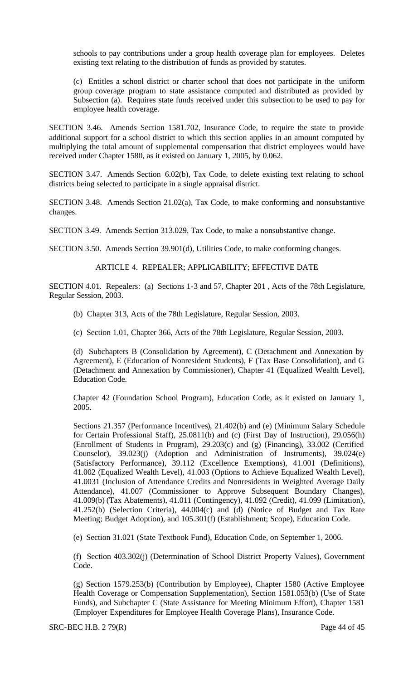schools to pay contributions under a group health coverage plan for employees. Deletes existing text relating to the distribution of funds as provided by statutes.

(c) Entitles a school district or charter school that does not participate in the uniform group coverage program to state assistance computed and distributed as provided by Subsection (a). Requires state funds received under this subsection to be used to pay for employee health coverage.

SECTION 3.46. Amends Section 1581.702, Insurance Code, to require the state to provide additional support for a school district to which this section applies in an amount computed by multiplying the total amount of supplemental compensation that district employees would have received under Chapter 1580, as it existed on January 1, 2005, by 0.062.

SECTION 3.47. Amends Section 6.02(b), Tax Code, to delete existing text relating to school districts being selected to participate in a single appraisal district.

SECTION 3.48. Amends Section 21.02(a), Tax Code, to make conforming and nonsubstantive changes.

SECTION 3.49. Amends Section 313.029, Tax Code, to make a nonsubstantive change.

SECTION 3.50. Amends Section 39.901(d), Utilities Code, to make conforming changes.

ARTICLE 4. REPEALER; APPLICABILITY; EFFECTIVE DATE

SECTION 4.01. Repealers: (a) Sections 1-3 and 57, Chapter 201 , Acts of the 78th Legislature, Regular Session, 2003.

(b) Chapter 313, Acts of the 78th Legislature, Regular Session, 2003.

(c) Section 1.01, Chapter 366, Acts of the 78th Legislature, Regular Session, 2003.

(d) Subchapters B (Consolidation by Agreement), C (Detachment and Annexation by Agreement), E (Education of Nonresident Students), F (Tax Base Consolidation), and G (Detachment and Annexation by Commissioner), Chapter 41 (Equalized Wealth Level), Education Code.

Chapter 42 (Foundation School Program), Education Code, as it existed on January 1, 2005.

Sections 21.357 (Performance Incentives), 21.402(b) and (e) (Minimum Salary Schedule for Certain Professional Staff), 25.0811(b) and (c) (First Day of Instruction), 29.056(h) (Enrollment of Students in Program), 29.203(c) and (g) (Financing), 33.002 (Certified Counselor), 39.023(j) (Adoption and Administration of Instruments), 39.024(e) (Satisfactory Performance), 39.112 (Excellence Exemptions), 41.001 (Definitions), 41.002 (Equalized Wealth Level), 41.003 (Options to Achieve Equalized Wealth Level), 41.0031 (Inclusion of Attendance Credits and Nonresidents in Weighted Average Daily Attendance), 41.007 (Commissioner to Approve Subsequent Boundary Changes), 41.009(b) (Tax Abatements), 41.011 (Contingency), 41.092 (Credit), 41.099 (Limitation), 41.252(b) (Selection Criteria), 44.004(c) and (d) (Notice of Budget and Tax Rate Meeting; Budget Adoption), and 105.301(f) (Establishment; Scope), Education Code.

(e) Section 31.021 (State Textbook Fund), Education Code, on September 1, 2006.

(f) Section 403.302(j) (Determination of School District Property Values), Government Code.

(g) Section 1579.253(b) (Contribution by Employee), Chapter 1580 (Active Employee Health Coverage or Compensation Supplementation), Section 1581.053(b) (Use of State Funds), and Subchapter C (State Assistance for Meeting Minimum Effort), Chapter 1581 (Employer Expenditures for Employee Health Coverage Plans), Insurance Code.